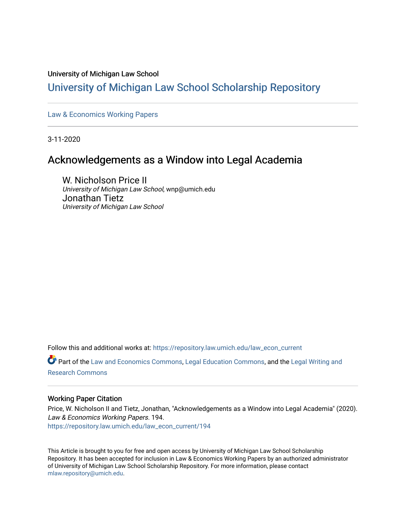# University of Michigan Law School

# [University of Michigan Law School Scholarship Repository](https://repository.law.umich.edu/)

[Law & Economics Working Papers](https://repository.law.umich.edu/law_econ_current)

3-11-2020

# Acknowledgements as a Window into Legal Academia

W. Nicholson Price II University of Michigan Law School, wnp@umich.edu Jonathan Tietz University of Michigan Law School

Follow this and additional works at: [https://repository.law.umich.edu/law\\_econ\\_current](https://repository.law.umich.edu/law_econ_current?utm_source=repository.law.umich.edu%2Flaw_econ_current%2F194&utm_medium=PDF&utm_campaign=PDFCoverPages) 

Part of the [Law and Economics Commons](http://network.bepress.com/hgg/discipline/612?utm_source=repository.law.umich.edu%2Flaw_econ_current%2F194&utm_medium=PDF&utm_campaign=PDFCoverPages), [Legal Education Commons](http://network.bepress.com/hgg/discipline/857?utm_source=repository.law.umich.edu%2Flaw_econ_current%2F194&utm_medium=PDF&utm_campaign=PDFCoverPages), and the [Legal Writing and](http://network.bepress.com/hgg/discipline/614?utm_source=repository.law.umich.edu%2Flaw_econ_current%2F194&utm_medium=PDF&utm_campaign=PDFCoverPages) [Research Commons](http://network.bepress.com/hgg/discipline/614?utm_source=repository.law.umich.edu%2Flaw_econ_current%2F194&utm_medium=PDF&utm_campaign=PDFCoverPages) 

# Working Paper Citation

Price, W. Nicholson II and Tietz, Jonathan, "Acknowledgements as a Window into Legal Academia" (2020). Law & Economics Working Papers. 194. [https://repository.law.umich.edu/law\\_econ\\_current/194](https://repository.law.umich.edu/law_econ_current/194?utm_source=repository.law.umich.edu%2Flaw_econ_current%2F194&utm_medium=PDF&utm_campaign=PDFCoverPages) 

This Article is brought to you for free and open access by University of Michigan Law School Scholarship Repository. It has been accepted for inclusion in Law & Economics Working Papers by an authorized administrator of University of Michigan Law School Scholarship Repository. For more information, please contact [mlaw.repository@umich.edu.](mailto:mlaw.repository@umich.edu)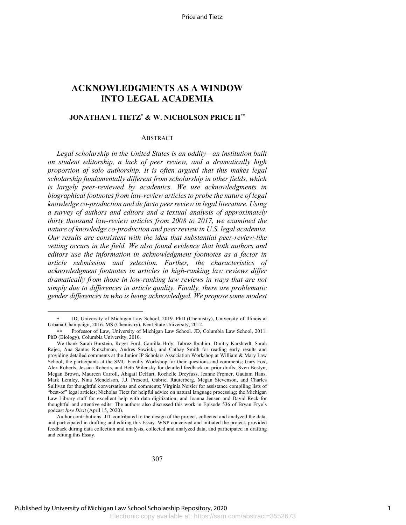# **ACKNOWLEDGMENTS AS A WINDOW INTO LEGAL ACADEMIA**

# **JONATHAN I. TIETZ\* & W. NICHOLSON PRICE II\*\***

#### ABSTRACT

*Legal scholarship in the United States is an oddity—an institution built on student editorship, a lack of peer review, and a dramatically high proportion of solo authorship. It is often argued that this makes legal scholarship fundamentally different from scholarship in other fields, which is largely peer-reviewed by academics. We use acknowledgments in biographical footnotes from law-review articles to probe the nature of legal knowledge co-production and de facto peer review in legal literature. Using a survey of authors and editors and a textual analysis of approximately thirty thousand law-review articles from 2008 to 2017, we examined the nature of knowledge co-production and peer review in U.S. legal academia. Our results are consistent with the idea that substantial peer-review-like vetting occurs in the field. We also found evidence that both authors and editors use the information in acknowledgment footnotes as a factor in article submission and selection. Further, the characteristics of acknowledgment footnotes in articles in high-ranking law reviews differ dramatically from those in low-ranking law reviews in ways that are not simply due to differences in article quality. Finally, there are problematic gender differences in who is being acknowledged. We propose some modest* 

<sup>\*</sup> JD, University of Michigan Law School, 2019. PhD (Chemistry), University of Illinois at Urbana-Champaign, 2016. MS (Chemistry), Kent State University, 2012.

<sup>\*\*</sup> Professor of Law, University of Michigan Law School. JD, Columbia Law School, 2011. PhD (Biology), Columbia University, 2010.

We thank Sarah Burstein, Roger Ford, Camilla Hrdy, Tabrez Ibrahim, Dmitry Karshtedt, Sarah Rajec, Ana Santos Rutschman, Andres Sawicki, and Cathay Smith for reading early results and providing detailed comments at the Junior IP Scholars Association Workshop at William & Mary Law School; the participants at the SMU Faculty Workshop for their questions and comments; Gary Fox, Alex Roberts, Jessica Roberts, and Beth Wilensky for detailed feedback on prior drafts; Sven Bostyn, Megan Brown, Maureen Carroll, Abigail DeHart, Rochelle Dreyfuss, Jeanne Fromer, Gautam Hans, Mark Lemley, Nina Mendelson, J.J. Prescott, Gabriel Rauterberg, Megan Stevenson, and Charles Sullivan for thoughtful conversations and comments; Virginia Neisler for assistance compiling lists of "best-of" legal articles; Nicholas Tietz for helpful advice on natural language processing; the Michigan Law Library staff for excellent help with data digitization; and Joanna Jensen and David Reck for thoughtful and attentive edits. The authors also discussed this work in Episode 536 of Bryan Frye's podcast *Ipse Dixit* (April 15, 2020).

Author contributions: JIT contributed to the design of the project, collected and analyzed the data, and participated in drafting and editing this Essay. WNP conceived and initiated the project, provided feedback during data collection and analysis, collected and analyzed data, and participated in drafting and editing this Essay.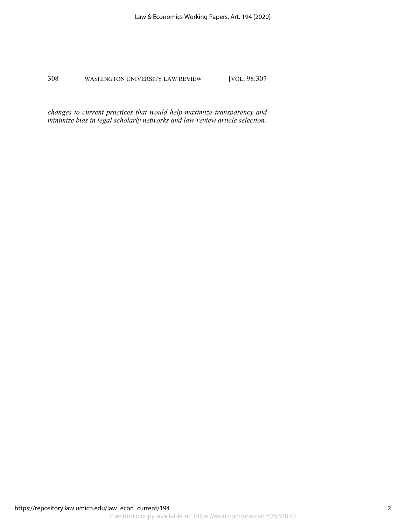*changes to current practices that would help maximize transparency and minimize bias in legal scholarly networks and law-review article selection.*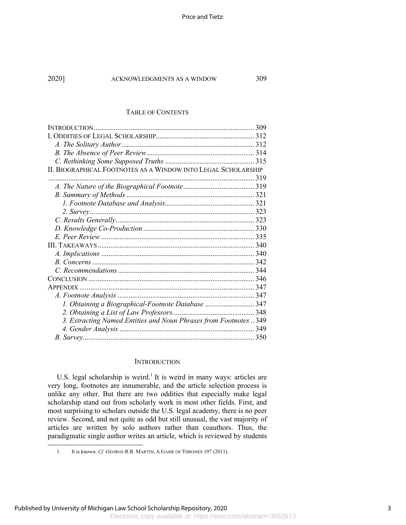#### TABLE OF CONTENTS

| II. BIOGRAPHICAL FOOTNOTES AS A WINDOW INTO LEGAL SCHOLARSHIP     |  |
|-------------------------------------------------------------------|--|
|                                                                   |  |
|                                                                   |  |
|                                                                   |  |
|                                                                   |  |
|                                                                   |  |
|                                                                   |  |
|                                                                   |  |
|                                                                   |  |
|                                                                   |  |
|                                                                   |  |
|                                                                   |  |
|                                                                   |  |
|                                                                   |  |
|                                                                   |  |
|                                                                   |  |
| 1. Obtaining a Biographical-Footnote Database  347                |  |
|                                                                   |  |
| 3. Extracting Named Entities and Noun Phrases from Footnotes  349 |  |
|                                                                   |  |
|                                                                   |  |

# **INTRODUCTION**

U.S. legal scholarship is weird.<sup>1</sup> It is weird in many ways: articles are very long, footnotes are innumerable, and the article selection process is unlike any other. But there are two oddities that especially make legal scholarship stand out from scholarly work in most other fields. First, and most surprising to scholars outside the U.S. legal academy, there is no peer review. Second, and not quite as odd but still unusual, the vast majority of articles are written by solo authors rather than coauthors. Thus, the paradigmatic single author writes an article, which is reviewed by students

<sup>1.</sup> It is known. *Cf.* GEORGE R.R. MARTIN, A GAME OF THRONES 197 (2011).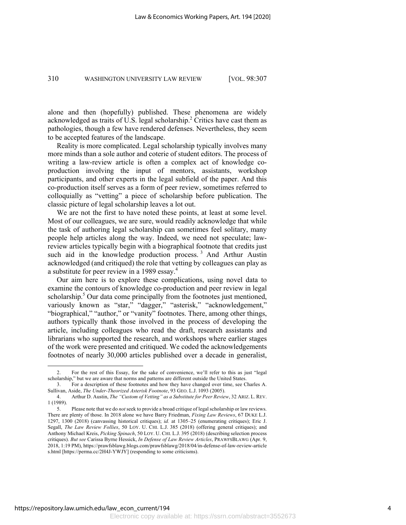alone and then (hopefully) published. These phenomena are widely acknowledged as traits of U.S. legal scholarship.<sup>2</sup> Critics have cast them as pathologies, though a few have rendered defenses. Nevertheless, they seem to be accepted features of the landscape.

Reality is more complicated. Legal scholarship typically involves many more minds than a sole author and coterie of student editors. The process of writing a law-review article is often a complex act of knowledge coproduction involving the input of mentors, assistants, workshop participants, and other experts in the legal subfield of the paper. And this co-production itself serves as a form of peer review, sometimes referred to colloquially as "vetting" a piece of scholarship before publication. The classic picture of legal scholarship leaves a lot out.

We are not the first to have noted these points, at least at some level. Most of our colleagues, we are sure, would readily acknowledge that while the task of authoring legal scholarship can sometimes feel solitary, many people help articles along the way. Indeed, we need not speculate; lawreview articles typically begin with a biographical footnote that credits just such aid in the knowledge production process.<sup>3</sup> And Arthur Austin acknowledged (and critiqued) the role that vetting by colleagues can play as a substitute for peer review in a 1989 essay.<sup>4</sup>

Our aim here is to explore these complications, using novel data to examine the contours of knowledge co-production and peer review in legal scholarship. $5$  Our data come principally from the footnotes just mentioned, variously known as "star," "dagger," "asterisk," "acknowledgement," "biographical," "author," or "vanity" footnotes. There, among other things, authors typically thank those involved in the process of developing the article, including colleagues who read the draft, research assistants and librarians who supported the research, and workshops where earlier stages of the work were presented and critiqued. We coded the acknowledgements footnotes of nearly 30,000 articles published over a decade in generalist,

<sup>2.</sup> For the rest of this Essay, for the sake of convenience, we'll refer to this as just "legal scholarship," but we are aware that norms and patterns are different outside the United States.

<sup>3.</sup> For a description of these footnotes and how they have changed over time, see Charles A. Sullivan, Aside, *The Under-Theorized Asterisk Footnote*, 93 GEO. L.J. 1093 (2005).

<sup>4.</sup> Arthur D. Austin, *The "Custom of Vetting" as a Substitute for Peer Review*, 32 ARIZ. L. REV. 1 (1989).

<sup>5.</sup> Please note that we do *not* seek to provide a broad critique of legal scholarship or law reviews. There are plenty of those. In 2018 alone we have Barry Friedman, *Fixing Law Reviews*, 67 DUKE L.J. 1297, 1300 (2018) (canvassing historical critiques); *id.* at 1305–25 (enumerating critiques); Eric J. Segall, *The Law Review Follies*, 50 LOY. U. CHI. L.J. 385 (2018) (offering general critiques); and Anthony Michael Kreis, *Picking Spinach*, 50 LOY. U. CHI. L.J. 395 (2018) (describing selection process critiques). *But see* Carissa Byrne Hessick, *In Defense of Law Review Articles*, PRAWFSBLAWG (Apr. 9, 2018, 1:19 PM), https://prawfsblawg.blogs.com/prawfsblawg/2018/04/in-defense-of-law-review-article s.html [https://perma.cc/2H4J-YWJY] (responding to some criticisms).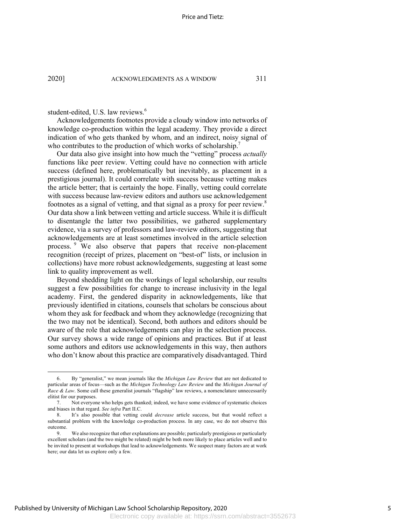#### student-edited, U.S. law reviews.<sup>6</sup>

Acknowledgements footnotes provide a cloudy window into networks of knowledge co-production within the legal academy. They provide a direct indication of who gets thanked by whom, and an indirect, noisy signal of who contributes to the production of which works of scholarship.<sup>7</sup>

Our data also give insight into how much the "vetting" process *actually*  functions like peer review. Vetting could have no connection with article success (defined here, problematically but inevitably, as placement in a prestigious journal). It could correlate with success because vetting makes the article better; that is certainly the hope. Finally, vetting could correlate with success because law-review editors and authors use acknowledgement footnotes as a signal of vetting, and that signal as a proxy for peer review.<sup>8</sup> Our data show a link between vetting and article success. While it is difficult to disentangle the latter two possibilities, we gathered supplementary evidence, via a survey of professors and law-review editors, suggesting that acknowledgements are at least sometimes involved in the article selection process. <sup>9</sup> We also observe that papers that receive non-placement recognition (receipt of prizes, placement on "best-of" lists, or inclusion in collections) have more robust acknowledgements, suggesting at least some link to quality improvement as well.

Beyond shedding light on the workings of legal scholarship, our results suggest a few possibilities for change to increase inclusivity in the legal academy. First, the gendered disparity in acknowledgements, like that previously identified in citations, counsels that scholars be conscious about whom they ask for feedback and whom they acknowledge (recognizing that the two may not be identical). Second, both authors and editors should be aware of the role that acknowledgements can play in the selection process. Our survey shows a wide range of opinions and practices. But if at least some authors and editors use acknowledgements in this way, then authors who don't know about this practice are comparatively disadvantaged. Third

<sup>6.</sup> By "generalist," we mean journals like the *Michigan Law Review* that are not dedicated to particular areas of focus—such as the *Michigan Technology Law Review* and the *Michigan Journal of Race & Law*. Some call these generalist journals "flagship" law reviews, a nomenclature unnecessarily elitist for our purposes.

<sup>7.</sup> Not everyone who helps gets thanked; indeed, we have some evidence of systematic choices and biases in that regard. *See infra* Part II.C.

<sup>8.</sup> It's also possible that vetting could *decrease* article success, but that would reflect a substantial problem with the knowledge co-production process. In any case, we do not observe this outcome.

<sup>9.</sup> We also recognize that other explanations are possible; particularly prestigious or particularly excellent scholars (and the two might be related) might be both more likely to place articles well and to be invited to present at workshops that lead to acknowledgements. We suspect many factors are at work here; our data let us explore only a few.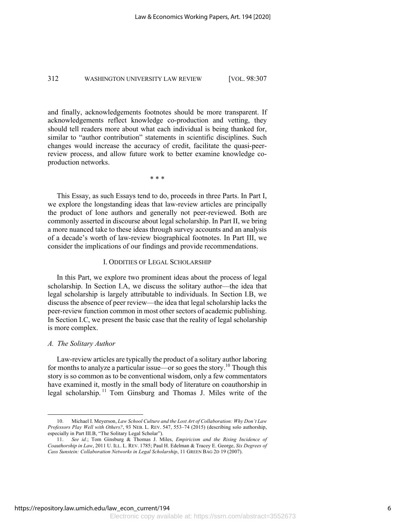and finally, acknowledgements footnotes should be more transparent. If acknowledgements reflect knowledge co-production and vetting, they should tell readers more about what each individual is being thanked for, similar to "author contribution" statements in scientific disciplines. Such changes would increase the accuracy of credit, facilitate the quasi-peerreview process, and allow future work to better examine knowledge coproduction networks.

\* \* \*

This Essay, as such Essays tend to do, proceeds in three Parts. In Part I, we explore the longstanding ideas that law-review articles are principally the product of lone authors and generally not peer-reviewed. Both are commonly asserted in discourse about legal scholarship. In Part II, we bring a more nuanced take to these ideas through survey accounts and an analysis of a decade's worth of law-review biographical footnotes. In Part III, we consider the implications of our findings and provide recommendations.

# I. ODDITIES OF LEGAL SCHOLARSHIP

In this Part, we explore two prominent ideas about the process of legal scholarship. In Section I.A, we discuss the solitary author—the idea that legal scholarship is largely attributable to individuals. In Section I.B, we discuss the absence of peer review—the idea that legal scholarship lacks the peer-review function common in most other sectors of academic publishing. In Section I.C, we present the basic case that the reality of legal scholarship is more complex.

#### *A. The Solitary Author*

Law-review articles are typically the product of a solitary author laboring for months to analyze a particular issue—or so goes the story.<sup>10</sup> Though this story is so common as to be conventional wisdom, only a few commentators have examined it, mostly in the small body of literature on coauthorship in legal scholarship. <sup>11</sup> Tom Ginsburg and Thomas J. Miles write of the

<sup>10.</sup> Michael I. Meyerson, *Law School Culture and the Lost Art of Collaboration: Why Don't Law Professors Play Well with Others?*, 93 NEB. L. REV. 547, 553–74 (2015) (describing solo authorship, especially in Part III.B, "The Solitary Legal Scholar").

<sup>11.</sup> *See id.*; Tom Ginsburg & Thomas J. Miles, *Empiricism and the Rising Incidence of Coauthorship in Law*, 2011 U. ILL. L. REV. 1785; Paul H. Edelman & Tracey E. George, *Six Degrees of Cass Sunstein: Collaboration Networks in Legal Scholarship*, 11 GREEN BAG 2D 19 (2007).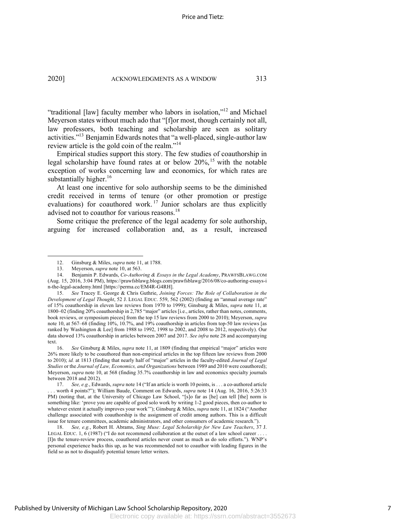"traditional [law] faculty member who labors in isolation,"12 and Michael Meyerson states without much ado that "[f]or most, though certainly not all, law professors, both teaching and scholarship are seen as solitary activities."13 Benjamin Edwards notes that "a well-placed, single-author law review article is the gold coin of the realm."<sup>14</sup>

Empirical studies support this story. The few studies of coauthorship in legal scholarship have found rates at or below  $20\%$ ,<sup>15</sup> with the notable exception of works concerning law and economics, for which rates are substantially higher.<sup>16</sup>

At least one incentive for solo authorship seems to be the diminished credit received in terms of tenure (or other promotion or prestige evaluations) for coauthored work.<sup>17</sup> Junior scholars are thus explicitly advised not to coauthor for various reasons.<sup>18</sup>

Some critique the preference of the legal academy for sole authorship, arguing for increased collaboration and, as a result, increased

16. *See* Ginsburg & Miles, *supra* note 11, at 1809 (finding that empirical "major" articles were 26% more likely to be coauthored than non-empirical articles in the top fifteen law reviews from 2000 to 2010); *id.* at 1813 (finding that nearly half of "major" articles in the faculty-edited *Journal of Legal Studies* or the *Journal of Law, Economics, and Organizations* between 1989 and 2010 were coauthored); Meyerson, *supra* note 10, at 568 (finding 35.7% coauthorship in law and economics specialty journals between 2018 and 2012).

<sup>12.</sup> Ginsburg & Miles, *supra* note 11, at 1788.

<sup>13.</sup> Meyerson, *supra* note 10, at 563.

<sup>14.</sup> Benjamin P. Edwards, *Co-Authoring & Essays in the Legal Academy*, PRAWFSBLAWG.COM (Aug. 15, 2016, 3:04 PM), https://prawfsblawg.blogs.com/prawfsblawg/2016/08/co-authoring-essays-i n-the-legal-academy.html [https://perma.cc/EM4R-G4RH].

<sup>15.</sup> *See* Tracey E. George & Chris Guthrie, *Joining Forces: The Role of Collaboration in the Development of Legal Thought*, 52 J. LEGAL EDUC. 559, 562 (2002) (finding an "annual average rate" of 15% coauthorship in eleven law reviews from 1970 to 1999); Ginsburg & Miles, *supra* note 11, at 1800–02 (finding 20% coauthorship in 2,785 "major" articles [i.e., articles, rather than notes, comments, book reviews, or symposium pieces] from the top 15 law reviews from 2000 to 2010); Meyerson, *supra* note 10, at 567–68 (finding 10%, 10.7%, and 19% coauthorship in articles from top-50 law reviews [as ranked by Washington & Lee] from 1988 to 1992, 1998 to 2002, and 2008 to 2012, respectively). Our data showed 13% coauthorship in articles between 2007 and 2017. *See infra* note 28 and accompanying text.

<sup>17.</sup> *See, e.g.*, Edwards, *supra* note 14 ("If an article is worth 10 points, is . . . a co-authored article . . . worth 4 points?"); William Baude, Comment on Edwards, *supra* note 14 (Aug. 16, 2016, 5:26:33 PM) (noting that, at the University of Chicago Law School, "[s]o far as [he] can tell [the] norm is something like: 'prove you are capable of good solo work by writing 1-2 good pieces, then co-author to whatever extent it actually improves your work'"); Ginsburg & Miles, *supra* note 11, at 1824 ("Another challenge associated with coauthorship is the assignment of credit among authors. This is a difficult issue for tenure committees, academic administrators, and other consumers of academic research.").

<sup>18.</sup> *See, e.g.*, Robert H. Abrams, *Sing Muse: Legal Scholarship for New Law Teachers*, 37 J. LEGAL EDUC. 1, 6 (1987) ("I do not recommend collaboration at the outset of a law school career . [I]n the tenure-review process, coauthored articles never count as much as do solo efforts."). WNP's personal experience backs this up, as he was recommended not to coauthor with leading figures in the field so as not to disqualify potential tenure letter writers.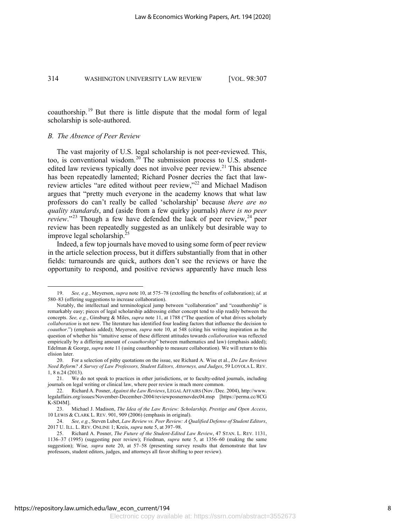coauthorship. <sup>19</sup> But there is little dispute that the modal form of legal scholarship is sole-authored.

#### *B. The Absence of Peer Review*

The vast majority of U.S. legal scholarship is not peer-reviewed. This, too, is conventional wisdom.<sup>20</sup> The submission process to U.S. studentedited law reviews typically does not involve peer review.<sup>21</sup> This absence has been repeatedly lamented; Richard Posner decries the fact that lawreview articles "are edited without peer review,"<sup>22</sup> and Michael Madison argues that "pretty much everyone in the academy knows that what law professors do can't really be called 'scholarship' because *there are no quality standards*, and (aside from a few quirky journals) *there is no peer review.*"<sup>23</sup> Though a few have defended the lack of peer review,<sup>24</sup> peer review has been repeatedly suggested as an unlikely but desirable way to improve legal scholarship.<sup>25</sup>

Indeed, a few top journals have moved to using some form of peer review in the article selection process, but it differs substantially from that in other fields: turnarounds are quick, authors don't see the reviews or have the opportunity to respond, and positive reviews apparently have much less

<sup>19.</sup> *See, e.g.*, Meyerson, *supra* note 10, at 575–78 (extolling the benefits of collaboration); *id.* at 580–83 (offering suggestions to increase collaboration).

Notably, the intellectual and terminological jump between "collaboration" and "coauthorship" is remarkably easy; pieces of legal scholarship addressing either concept tend to slip readily between the concepts. *See, e.g.*, Ginsburg & Miles, *supra* note 11, at 1788 ("The question of what drives scholarly *collaboration* is not new. The literature has identified four leading factors that influence the decision to *coauthor*.") (emphasis added); Meyerson*, supra* note 10, at 548 (citing his writing inspiration as the question of whether his "intuitive sense of these different attitudes towards *collaboration* was reflected empirically by a differing amount of *coauthorship*" between mathematics and law) (emphasis added); Edelman & George, *supra* note 11 (using coauthorship to measure collaboration). We will return to this elision later.

<sup>20.</sup> For a selection of pithy quotations on the issue, see Richard A. Wise et al., *Do Law Reviews Need Reform? A Survey of Law Professors, Student Editors, Attorneys, and Judges*, 59 LOYOLA L. REV. 1, 8 n.24 (2013).

<sup>21.</sup> We do not speak to practices in other jurisdictions, or to faculty-edited journals, including journals on legal writing or clinical law, where peer review is much more common.

<sup>22.</sup> Richard A. Posner, *Against the Law Reviews*, LEGAL AFFAIRS (Nov./Dec. 2004), http://www. legalaffairs.org/issues/November-December-2004/reviewposnernovdec04.msp [https://perma.cc/8CG K-SD4M].

<sup>23.</sup> Michael J. Madison, *The Idea of the Law Review: Scholarship, Prestige and Open Access*, 10 LEWIS & CLARK L. REV. 901, 909 (2006) (emphasis in original).

<sup>24.</sup> *See, e.g.*, Steven Lubet, *Law Review vs. Peer Review: A Qualified Defense of Student Editors*, 2017 U. ILL. L. REV. ONLINE 1; Kreis, *supra* note 5, at 397–98.

<sup>25.</sup> Richard A. Posner, *The Future of the Student-Edited Law Review*, 47 STAN. L. REV. 1131, 1136–37 (1995) (suggesting peer review); Friedman, *supra* note 5, at 1356–60 (making the same suggestion); Wise*, supra* note 20, at 57–58 (presenting survey results that demonstrate that law professors, student editors, judges, and attorneys all favor shifting to peer review).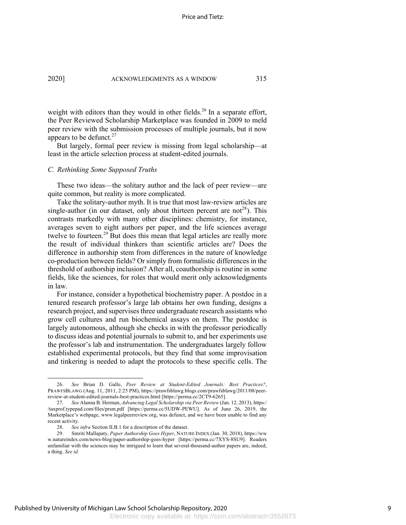weight with editors than they would in other fields.<sup>26</sup> In a separate effort, the Peer Reviewed Scholarship Marketplace was founded in 2009 to meld peer review with the submission processes of multiple journals, but it now appears to be defunct. $27$ 

But largely, formal peer review is missing from legal scholarship—at least in the article selection process at student-edited journals.

#### *C. Rethinking Some Supposed Truths*

These two ideas—the solitary author and the lack of peer review—are quite common, but reality is more complicated.

Take the solitary-author myth. It is true that most law-review articles are single-author (in our dataset, only about thirteen percent are not<sup>28</sup>). This contrasts markedly with many other disciplines: chemistry, for instance, averages seven to eight authors per paper, and the life sciences average twelve to fourteen.<sup>29</sup> But does this mean that legal articles are really more the result of individual thinkers than scientific articles are? Does the difference in authorship stem from differences in the nature of knowledge co-production between fields? Or simply from formalistic differences in the threshold of authorship inclusion? After all, coauthorship is routine in some fields, like the sciences, for roles that would merit only acknowledgments in law.

For instance, consider a hypothetical biochemistry paper. A postdoc in a tenured research professor's large lab obtains her own funding, designs a research project, and supervises three undergraduate research assistants who grow cell cultures and run biochemical assays on them. The postdoc is largely autonomous, although she checks in with the professor periodically to discuss ideas and potential journals to submit to, and her experiments use the professor's lab and instrumentation. The undergraduates largely follow established experimental protocols, but they find that some improvisation and tinkering is needed to adapt the protocols to these specific cells. The

<sup>26.</sup> *See* Brian D. Galle, *Peer Review at Student-Edited Journals: Best Practices?*, PRAWFSBLAWG (Aug. 11, 2011, 2:25 PM), https://prawfsblawg.blogs.com/prawfsblawg/2011/08/peerreview-at-student-edited-journals-best-practices.html [https://perma.cc/2CT9-6265].

<sup>27.</sup> *See* Alanna B. Herman, *Advancing Legal Scholarship via Peer Review* (Jan. 12, 2013), https:/ /taxprof.typepad.com/files/prsm.pdf [https://perma.cc/5UDW-PEWU]. As of June 26, 2019, the Marketplace's webpage, www.legalpeerreview.org, was defunct, and we have been unable to find any recent activity.

<sup>28.</sup> *See infra* Section II.B.1 for a description of the dataset.<br>29. Smriti Mallapaty, *Paper Authorship Goes Hyper*, NATU

<sup>29.</sup> Smriti Mallapaty, *Paper Authorship Goes Hyper*, NATURE INDEX (Jan. 30, 2018), https://ww w.natureindex.com/news-blog/paper-authorship-goes-hyper [https://perma.cc/7XYS-8SU9]. Readers unfamiliar with the sciences may be intrigued to learn that several-thousand-author papers are, indeed, a thing. *See id.*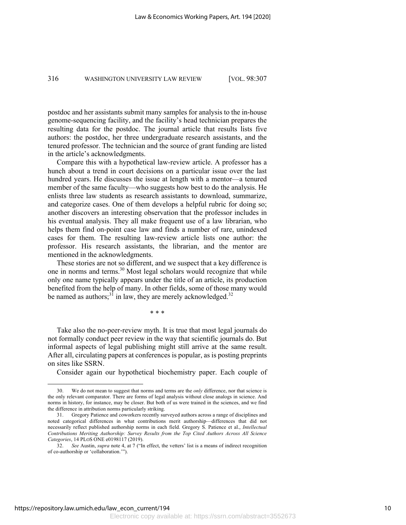postdoc and her assistants submit many samples for analysis to the in-house genome-sequencing facility, and the facility's head technician prepares the resulting data for the postdoc. The journal article that results lists five authors: the postdoc, her three undergraduate research assistants, and the tenured professor. The technician and the source of grant funding are listed in the article's acknowledgments.

Compare this with a hypothetical law-review article. A professor has a hunch about a trend in court decisions on a particular issue over the last hundred years. He discusses the issue at length with a mentor—a tenured member of the same faculty—who suggests how best to do the analysis. He enlists three law students as research assistants to download, summarize, and categorize cases. One of them develops a helpful rubric for doing so; another discovers an interesting observation that the professor includes in his eventual analysis. They all make frequent use of a law librarian, who helps them find on-point case law and finds a number of rare, unindexed cases for them. The resulting law-review article lists one author: the professor. His research assistants, the librarian, and the mentor are mentioned in the acknowledgments.

These stories are not so different, and we suspect that a key difference is one in norms and terms.30 Most legal scholars would recognize that while only one name typically appears under the title of an article, its production benefited from the help of many. In other fields, some of those many would be named as authors;<sup>31</sup> in law, they are merely acknowledged.<sup>32</sup>

\* \* \*

Take also the no-peer-review myth. It is true that most legal journals do not formally conduct peer review in the way that scientific journals do. But informal aspects of legal publishing might still arrive at the same result. After all, circulating papers at conferences is popular, as is posting preprints on sites like SSRN.

Consider again our hypothetical biochemistry paper. Each couple of

<sup>30.</sup> We do not mean to suggest that norms and terms are the *only* difference, nor that science is the only relevant comparator. There are forms of legal analysis without close analogs in science. And norms in history, for instance, may be closer. But both of us were trained in the sciences, and we find the difference in attribution norms particularly striking.

<sup>31.</sup> Gregory Patience and coworkers recently surveyed authors across a range of disciplines and noted categorical differences in what contributions merit authorship—differences that did not necessarily reflect published authorship norms in each field. Gregory S. Patience et al., *Intellectual Contributions Meriting Authorship: Survey Results from the Top Cited Authors Across All Science Categories*, 14 PLOS ONE e0198117 (2019).

<sup>32.</sup> *See* Austin, *supra* note 4, at 7 ("In effect, the vetters' list is a means of indirect recognition of co-authorship or 'collaboration.'").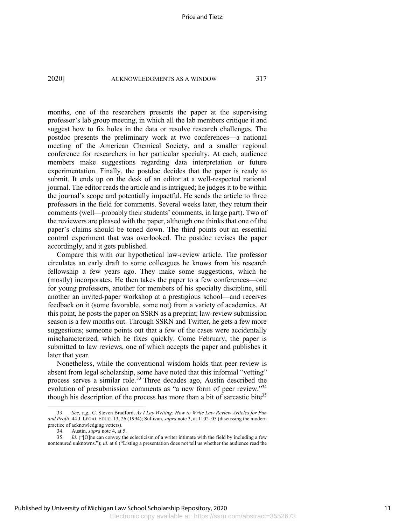months, one of the researchers presents the paper at the supervising professor's lab group meeting, in which all the lab members critique it and suggest how to fix holes in the data or resolve research challenges. The postdoc presents the preliminary work at two conferences—a national meeting of the American Chemical Society, and a smaller regional conference for researchers in her particular specialty. At each, audience members make suggestions regarding data interpretation or future experimentation. Finally, the postdoc decides that the paper is ready to submit. It ends up on the desk of an editor at a well-respected national journal. The editor reads the article and is intrigued; he judges it to be within the journal's scope and potentially impactful. He sends the article to three professors in the field for comments. Several weeks later, they return their comments (well—probably their students' comments, in large part). Two of the reviewers are pleased with the paper, although one thinks that one of the paper's claims should be toned down. The third points out an essential control experiment that was overlooked. The postdoc revises the paper accordingly, and it gets published.

Compare this with our hypothetical law-review article. The professor circulates an early draft to some colleagues he knows from his research fellowship a few years ago. They make some suggestions, which he (mostly) incorporates. He then takes the paper to a few conferences—one for young professors, another for members of his specialty discipline, still another an invited-paper workshop at a prestigious school—and receives feedback on it (some favorable, some not) from a variety of academics. At this point, he posts the paper on SSRN as a preprint; law-review submission season is a few months out. Through SSRN and Twitter, he gets a few more suggestions; someone points out that a few of the cases were accidentally mischaracterized, which he fixes quickly. Come February, the paper is submitted to law reviews, one of which accepts the paper and publishes it later that year.

Nonetheless, while the conventional wisdom holds that peer review is absent from legal scholarship, some have noted that this informal "vetting" process serves a similar role.<sup>33</sup> Three decades ago, Austin described the evolution of presubmission comments as "a new form of peer review,"<sup>34</sup> though his description of the process has more than a bit of sarcastic bite<sup>35</sup>

<sup>33.</sup> *See, e.g.*, C. Steven Bradford, *As I Lay Writing: How to Write Law Review Articles for Fun and Profit*, 44 J. LEGAL EDUC. 13, 26 (1994); Sullivan, *supra* note 3, at 1102–05 (discussing the modern practice of acknowledging vetters).

<sup>34.</sup> Austin, *supra* note 4, at 5.

<sup>35.</sup> *Id.* ("[O]ne can convey the eclecticism of a writer intimate with the field by including a few nontenured unknowns."); *id.* at 6 ("Listing a presentation does not tell us whether the audience read the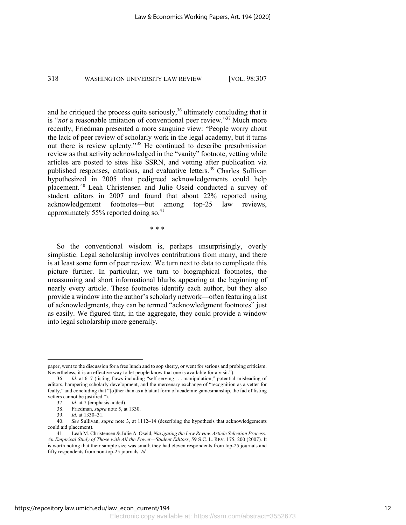and he critiqued the process quite seriously,<sup>36</sup> ultimately concluding that it is "*not* a reasonable imitation of conventional peer review."37 Much more recently, Friedman presented a more sanguine view: "People worry about the lack of peer review of scholarly work in the legal academy, but it turns out there is review aplenty."<sup>38</sup> He continued to describe presubmission review as that activity acknowledged in the "vanity" footnote, vetting while articles are posted to sites like SSRN, and vetting after publication via published responses, citations, and evaluative letters. <sup>39</sup> Charles Sullivan hypothesized in 2005 that pedigreed acknowledgements could help placement. <sup>40</sup> Leah Christensen and Julie Oseid conducted a survey of student editors in 2007 and found that about 22% reported using acknowledgement footnotes—but among top-25 law reviews, approximately 55% reported doing so.<sup>41</sup>

\* \* \*

So the conventional wisdom is, perhaps unsurprisingly, overly simplistic. Legal scholarship involves contributions from many, and there is at least some form of peer review. We turn next to data to complicate this picture further. In particular, we turn to biographical footnotes, the unassuming and short informational blurbs appearing at the beginning of nearly every article. These footnotes identify each author, but they also provide a window into the author's scholarly network—often featuring a list of acknowledgments, they can be termed "acknowledgment footnotes" just as easily. We figured that, in the aggregate, they could provide a window into legal scholarship more generally.

paper, went to the discussion for a free lunch and to sop sherry, or went for serious and probing criticism. Nevertheless, it is an effective way to let people know that one is available for a visit.").

<sup>36.</sup> *Id.* at 6–7 (listing flaws including "self-serving . . . manipulation," potential misleading of editors, hampering scholarly development, and the mercenary exchange of "recognition as a vetter for fealty," and concluding that "[o]ther than as a blatant form of academic gamesmanship, the fad of listing vetters cannot be justified.").

<sup>37.</sup> *Id.* at 7 (emphasis added).

<sup>38.</sup> Friedman, *supra* note 5, at 1330.

<sup>39.</sup> *Id.* at 1330–31.

<sup>40.</sup> *See* Sullivan, *supra* note 3, at 1112–14 (describing the hypothesis that acknowledgements could aid placement).

<sup>41.</sup> Leah M. Christensen & Julie A. Oseid, *Navigating the Law Review Article Selection Process: An Empirical Study of Those with All the Power—Student Editors*, 59 S.C. L. REV. 175, 200 (2007). It is worth noting that their sample size was small; they had eleven respondents from top-25 journals and fifty respondents from non-top-25 journals. *Id.*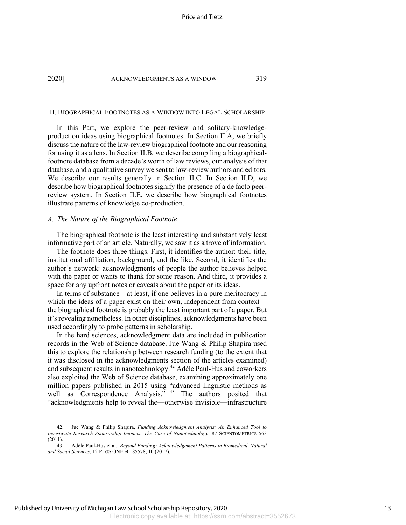#### II. BIOGRAPHICAL FOOTNOTES AS A WINDOW INTO LEGAL SCHOLARSHIP

In this Part, we explore the peer-review and solitary-knowledgeproduction ideas using biographical footnotes. In Section II.A, we briefly discuss the nature of the law-review biographical footnote and our reasoning for using it as a lens. In Section II.B, we describe compiling a biographicalfootnote database from a decade's worth of law reviews, our analysis of that database, and a qualitative survey we sent to law-review authors and editors. We describe our results generally in Section II.C. In Section II.D, we describe how biographical footnotes signify the presence of a de facto peerreview system. In Section II.E, we describe how biographical footnotes illustrate patterns of knowledge co-production.

# *A. The Nature of the Biographical Footnote*

The biographical footnote is the least interesting and substantively least informative part of an article. Naturally, we saw it as a trove of information.

The footnote does three things. First, it identifies the author: their title, institutional affiliation, background, and the like. Second, it identifies the author's network: acknowledgments of people the author believes helped with the paper or wants to thank for some reason. And third, it provides a space for any upfront notes or caveats about the paper or its ideas.

In terms of substance—at least, if one believes in a pure meritocracy in which the ideas of a paper exist on their own, independent from context the biographical footnote is probably the least important part of a paper. But it's revealing nonetheless. In other disciplines, acknowledgments have been used accordingly to probe patterns in scholarship.

In the hard sciences, acknowledgment data are included in publication records in the Web of Science database. Jue Wang & Philip Shapira used this to explore the relationship between research funding (to the extent that it was disclosed in the acknowledgments section of the articles examined) and subsequent results in nanotechnology.42 Adèle Paul-Hus and coworkers also exploited the Web of Science database, examining approximately one million papers published in 2015 using "advanced linguistic methods as well as Correspondence Analysis."<sup>43</sup> The authors posited that "acknowledgments help to reveal the—otherwise invisible—infrastructure

<sup>42.</sup> Jue Wang & Philip Shapira, *Funding Acknowledgment Analysis: An Enhanced Tool to Investigate Research Sponsorship Impacts: The Case of Nanotechnology*, 87 SCIENTOMETRICS 563 (2011).

<sup>43.</sup> Adèle Paul-Hus et al., *Beyond Funding: Acknowledgement Patterns in Biomedical, Natural and Social Sciences*, 12 PLOS ONE e0185578, 10 (2017).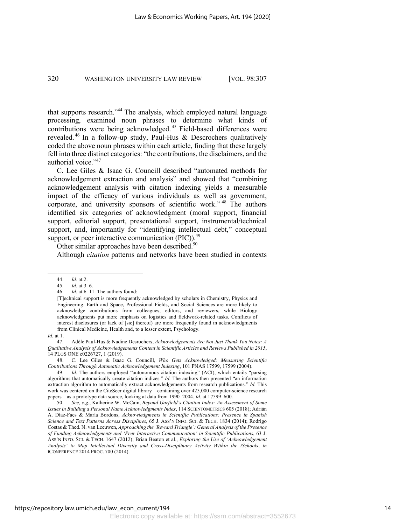that supports research."44 The analysis, which employed natural language processing, examined noun phrases to determine what kinds of contributions were being acknowledged. <sup>45</sup> Field-based differences were revealed.<sup>46</sup> In a follow-up study, Paul-Hus & Descrochers qualitatively coded the above noun phrases within each article, finding that these largely fell into three distinct categories: "the contributions, the disclaimers, and the authorial voice."<sup>47</sup>

C. Lee Giles & Isaac G. Councill described "automated methods for acknowledgement extraction and analysis" and showed that "combining acknowledgement analysis with citation indexing yields a measurable impact of the efficacy of various individuals as well as government, corporate, and university sponsors of scientific work." <sup>48</sup> The authors identified six categories of acknowledgment (moral support, financial support, editorial support, presentational support, instrumental/technical support, and, importantly for "identifying intellectual debt," conceptual support, or peer interactive communication  $(PIC)$ .<sup>49</sup>

Other similar approaches have been described.<sup>50</sup>

Although *citation* patterns and networks have been studied in contexts

<sup>44.</sup> *Id.* at 2.

<sup>45.</sup> *Id.* at 3–6.

<sup>46.</sup> *Id*. at 6–11. The authors found:

<sup>[</sup>T]echnical support is more frequently acknowledged by scholars in Chemistry, Physics and Engineering. Earth and Space, Professional Fields, and Social Sciences are more likely to acknowledge contributions from colleagues, editors, and reviewers, while Biology acknowledgments put more emphasis on logistics and fieldwork-related tasks. Conflicts of interest disclosures (or lack of [sic] thereof) are more frequently found in acknowledgments from Clinical Medicine, Health and, to a lesser extent, Psychology.

*Id.* at 1.

<sup>47.</sup> Adèle Paul-Hus & Nadine Desrochers, *Acknowledgements Are Not Just Thank You Notes: A Qualitative Analysis of Acknowledgements Content in Scientific Articles and Reviews Published in 2015*, 14 PLOS ONE e0226727, 1 (2019).

<sup>48.</sup> C. Lee Giles & Isaac G. Councill, *Who Gets Acknowledged: Measuring Scientific Contributions Through Automatic Acknowledgement Indexing*, 101 PNAS 17599, 17599 (2004).

<sup>49.</sup> *Id.* The authors employed "autonomous citation indexing" (ACI), which entails "parsing algorithms that automatically create citation indices." *Id.* The authors then presented "an information extraction algorithm to automatically extract acknowledgements from research publications." *Id.* This work was centered on the CiteSeer digital library—containing over 425,000 computer-science research papers—as a prototype data source, looking at data from 1990–2004. *Id.* at 17599–600.

<sup>50.</sup> *See, e.g.*, Katherine W. McCain, *Beyond Garfield's Citation Index: An Assessment of Some Issues in Building a Personal Name Acknowledgments Index*, 114 SCIENTOMETRICS 605 (2018); Adrián A. Díaz‐Faes & María Bordons, *Acknowledgments in Scientific Publications: Presence in Spanish Science and Text Patterns Across Disciplines*, 65 J. ASS'N INFO. SCI. & TECH. 1834 (2014); Rodrigo Costas & Thed. N. van Leeuwen, *Approaching the 'Reward Triangle': General Analysis of the Presence of Funding Acknowledgments and 'Peer Interactive Communication' in Scientific Publications*, 63 J. ASS'N INFO. SCI. & TECH. 1647 (2012); Brian Beaton et al., *Exploring the Use of 'Acknowledgement Analysis' to Map Intellectual Diversity and Cross-Disciplinary Activity Within the iSchools*, *in* ICONFERENCE 2014 PROC. 700 (2014).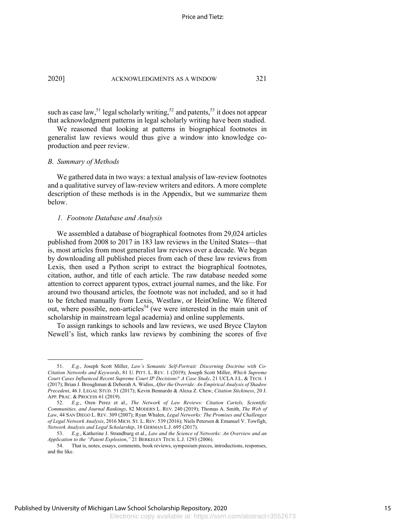such as case law,<sup>51</sup> legal scholarly writing,<sup>52</sup> and patents,<sup>53</sup> it does not appear that acknowledgment patterns in legal scholarly writing have been studied.

We reasoned that looking at patterns in biographical footnotes in generalist law reviews would thus give a window into knowledge coproduction and peer review.

#### *B. Summary of Methods*

We gathered data in two ways: a textual analysis of law-review footnotes and a qualitative survey of law-review writers and editors. A more complete description of these methods is in the Appendix, but we summarize them below.

### *1. Footnote Database and Analysis*

We assembled a database of biographical footnotes from 29,024 articles published from 2008 to 2017 in 183 law reviews in the United States—that is, most articles from most generalist law reviews over a decade. We began by downloading all published pieces from each of these law reviews from Lexis, then used a Python script to extract the biographical footnotes, citation, author, and title of each article. The raw database needed some attention to correct apparent typos, extract journal names, and the like. For around two thousand articles, the footnote was not included, and so it had to be fetched manually from Lexis, Westlaw, or HeinOnline. We filtered out, where possible, non-articles<sup>54</sup> (we were interested in the main unit of scholarship in mainstream legal academia) and online supplements.

To assign rankings to schools and law reviews, we used Bryce Clayton Newell's list, which ranks law reviews by combining the scores of five

<sup>51.</sup> *E.g.*, Joseph Scott Miller, *Law's Semantic Self-Portrait: Discerning Doctrine with Co-Citation Networks and Keywords*, 81 U. PITT. L. REV. 1 (2019); Joseph Scott Miller, *Which Supreme Court Cases Influenced Recent Supreme Court IP Decisions? A Case Study*, 21 UCLA J.L. & TECH. 1 (2017); Brian J. Broughman & Deborah A. Widiss, *After the Override: An Empirical Analysis of Shadow Precedent*, 46 J. LEGAL STUD. 51 (2017); Kevin Bennardo & Alexa Z. Chew, *Citation Stickiness*, 20 J. APP. PRAC. & PROCESS 61 (2019).

<sup>52.</sup> *E.g.*, Oren Perez et al., *The Network of Law Reviews: Citation Cartels, Scientific Communities, and Journal Rankings*, 82 MODERN L. REV. 240 (2019); Thomas A. Smith, *The Web of Law*, 44 SAN DIEGO L. REV. 309 (2007); Ryan Whalen, *Legal Networks: The Promises and Challenges of Legal Network Analysis*, 2016 MICH. ST. L. REV. 539 (2016); Niels Petersen & Emanuel V. Towfigh, *Network Analysis and Legal Scholarship*, 18 GERMAN L.J. 695 (2017).

<sup>53.</sup> *E.g.*, Katherine J. Strandburg et al., *Law and the Science of Networks: An Overview and an Application to the "Patent Explosion*,*"* 21 BERKELEY TECH. L.J. 1293 (2006).

<sup>54.</sup> That is, notes, essays, comments, book reviews, symposium pieces, introductions, responses, and the like.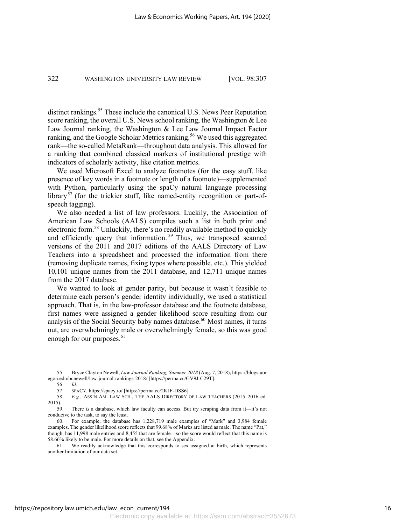distinct rankings.<sup>55</sup> These include the canonical U.S. News Peer Reputation score ranking, the overall U.S. News school ranking, the Washington & Lee Law Journal ranking, the Washington & Lee Law Journal Impact Factor ranking, and the Google Scholar Metrics ranking.<sup>56</sup> We used this aggregated rank—the so-called MetaRank—throughout data analysis. This allowed for a ranking that combined classical markers of institutional prestige with indicators of scholarly activity, like citation metrics.

We used Microsoft Excel to analyze footnotes (for the easy stuff, like presence of key words in a footnote or length of a footnote)—supplemented with Python, particularly using the spaCy natural language processing library<sup>57</sup> (for the trickier stuff, like named-entity recognition or part-ofspeech tagging).

We also needed a list of law professors. Luckily, the Association of American Law Schools (AALS) compiles such a list in both print and electronic form.58 Unluckily, there's no readily available method to quickly and efficiently query that information.<sup>59</sup> Thus, we transposed scanned versions of the 2011 and 2017 editions of the AALS Directory of Law Teachers into a spreadsheet and processed the information from there (removing duplicate names, fixing typos where possible, etc.). This yielded 10,101 unique names from the 2011 database, and 12,711 unique names from the 2017 database.

We wanted to look at gender parity, but because it wasn't feasible to determine each person's gender identity individually, we used a statistical approach. That is, in the law-professor database and the footnote database, first names were assigned a gender likelihood score resulting from our analysis of the Social Security baby names database.<sup>60</sup> Most names, it turns out, are overwhelmingly male or overwhelmingly female, so this was good enough for our purposes.<sup>61</sup>

<sup>55.</sup> Bryce Clayton Newell, *Law Journal Ranking, Summer 2018* (Aug. 7, 2018), https://blogs.uor egon.edu/bcnewell/law-journal-rankings-2018/ [https://perma.cc/GV9J-C29T].

<sup>56.</sup> *Id.*

<sup>57.</sup> SPACY, https://spacy.io/ [https://perma.cc/2KJF-DSS6].

<sup>58.</sup> *E.g.*, ASS'N AM. LAW SCH., THE AALS DIRECTORY OF LAW TEACHERS (2015–2016 ed. 2015).

<sup>59.</sup> There *is* a database, which law faculty can access. But try scraping data from it—it's not conducive to the task, to say the least.

<sup>60.</sup> For example, the database has 1,228,719 male examples of "Mark" and 3,984 female examples. The gender likelihood score reflects that 99.68% of Marks are listed as male. The name "Pat," though, has 11,998 male entries and 8,455 that are female—so the score would reflect that this name is 58.66% likely to be male. For more details on that, see the Appendix.

<sup>61.</sup> We readily acknowledge that this corresponds to sex assigned at birth, which represents another limitation of our data set.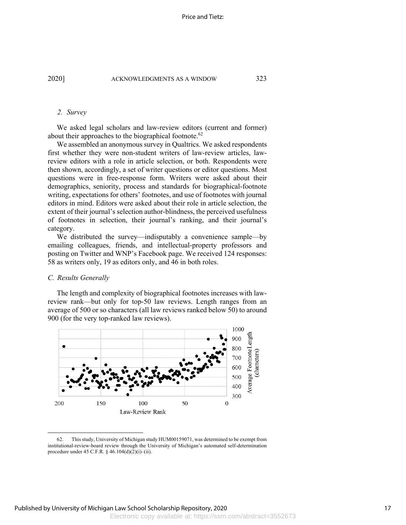#### *2. Survey*

We asked legal scholars and law-review editors (current and former) about their approaches to the biographical footnote.<sup>62</sup>

We assembled an anonymous survey in Qualtrics. We asked respondents first whether they were non-student writers of law-review articles, lawreview editors with a role in article selection, or both. Respondents were then shown, accordingly, a set of writer questions or editor questions. Most questions were in free-response form. Writers were asked about their demographics, seniority, process and standards for biographical-footnote writing, expectations for others' footnotes, and use of footnotes with journal editors in mind. Editors were asked about their role in article selection, the extent of their journal's selection author-blindness, the perceived usefulness of footnotes in selection, their journal's ranking, and their journal's category.

We distributed the survey—indisputably a convenience sample—by emailing colleagues, friends, and intellectual-property professors and posting on Twitter and WNP's Facebook page. We received 124 responses: 58 as writers only, 19 as editors only, and 46 in both roles.

#### *C. Results Generally*

The length and complexity of biographical footnotes increases with lawreview rank—but only for top-50 law reviews. Length ranges from an average of 500 or so characters (all law reviews ranked below 50) to around 900 (for the very top-ranked law reviews).



<sup>62.</sup> This study, University of Michigan study HUM00159071, was determined to be exempt from institutional-review-board review through the University of Michigan's automated self-determination procedure under 45 C.F.R. § 46.104(d)(2)(i)–(ii).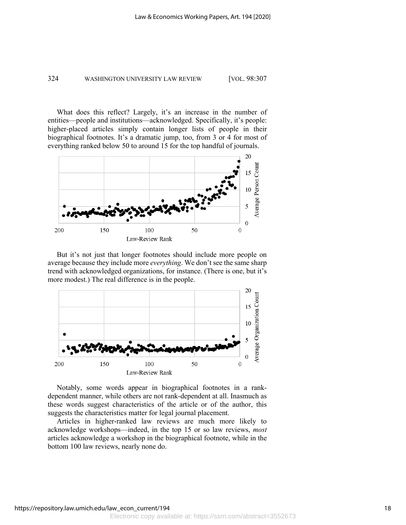What does this reflect? Largely, it's an increase in the number of entities—people and institutions—acknowledged. Specifically, it's people: higher-placed articles simply contain longer lists of people in their biographical footnotes. It's a dramatic jump, too, from 3 or 4 for most of everything ranked below 50 to around 15 for the top handful of journals.



But it's not just that longer footnotes should include more people on average because they include more *everything*. We don't see the same sharp trend with acknowledged organizations, for instance. (There is one, but it's more modest.) The real difference is in the people.



Notably, some words appear in biographical footnotes in a rankdependent manner, while others are not rank-dependent at all. Inasmuch as these words suggest characteristics of the article or of the author, this suggests the characteristics matter for legal journal placement.

Articles in higher-ranked law reviews are much more likely to acknowledge workshops—indeed, in the top 15 or so law reviews, *most* articles acknowledge a workshop in the biographical footnote, while in the bottom 100 law reviews, nearly none do.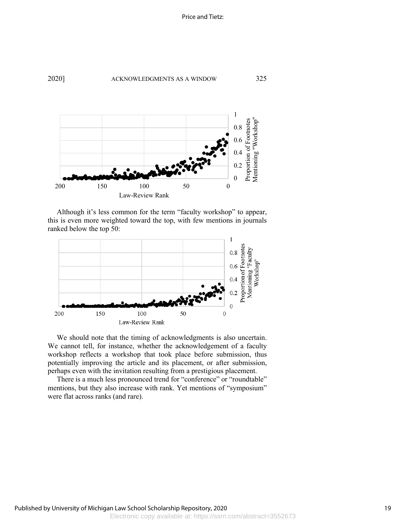



Although it's less common for the term "faculty workshop" to appear, this is even more weighted toward the top, with few mentions in journals ranked below the top 50:



We should note that the timing of acknowledgments is also uncertain. We cannot tell, for instance, whether the acknowledgement of a faculty workshop reflects a workshop that took place before submission, thus potentially improving the article and its placement, or after submission, perhaps even with the invitation resulting from a prestigious placement.

There is a much less pronounced trend for "conference" or "roundtable" mentions, but they also increase with rank. Yet mentions of "symposium" were flat across ranks (and rare).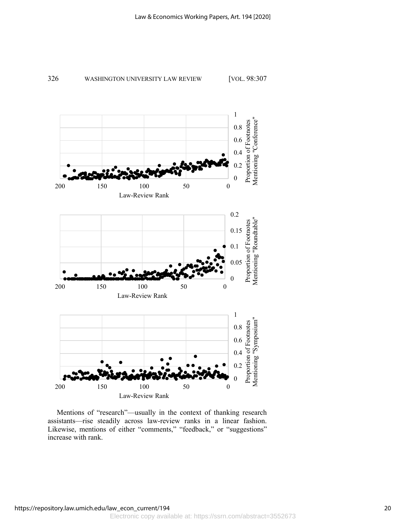



Mentions of "research"—usually in the context of thanking research assistants—rise steadily across law-review ranks in a linear fashion. Likewise, mentions of either "comments," "feedback," or "suggestions" increase with rank.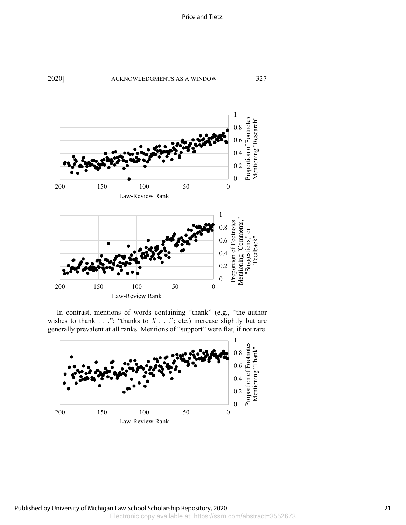

In contrast, mentions of words containing "thank" (e.g., "the author wishes to thank  $\ldots$ "; "thanks to  $X \ldots$ "; etc.) increase slightly but are generally prevalent at all ranks. Mentions of "support" were flat, if not rare.

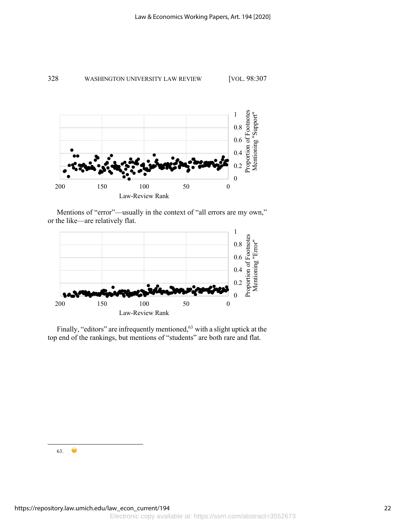



Mentions of "error"—usually in the context of "all errors are my own," or the like—are relatively flat.



Finally, "editors" are infrequently mentioned,<sup>63</sup> with a slight uptick at the top end of the rankings, but mentions of "students" are both rare and flat.

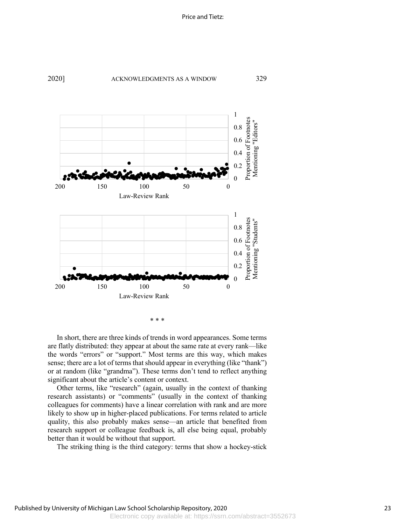



\* \* \*

In short, there are three kinds of trends in word appearances. Some terms are flatly distributed: they appear at about the same rate at every rank—like the words "errors" or "support." Most terms are this way, which makes sense; there are a lot of terms that should appear in everything (like "thank") or at random (like "grandma"). These terms don't tend to reflect anything significant about the article's content or context.

Other terms, like "research" (again, usually in the context of thanking research assistants) or "comments" (usually in the context of thanking colleagues for comments) have a linear correlation with rank and are more likely to show up in higher-placed publications. For terms related to article quality, this also probably makes sense––an article that benefited from research support or colleague feedback is, all else being equal, probably better than it would be without that support.

The striking thing is the third category: terms that show a hockey-stick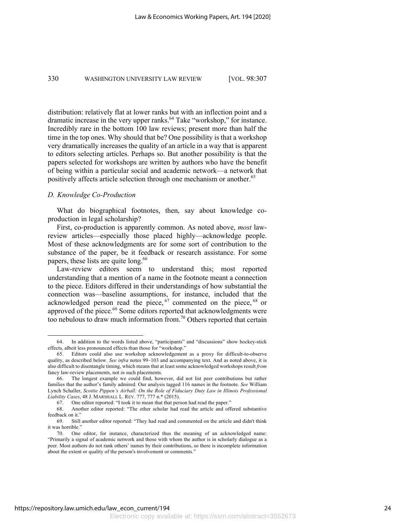distribution: relatively flat at lower ranks but with an inflection point and a dramatic increase in the very upper ranks.<sup>64</sup> Take "workshop," for instance. Incredibly rare in the bottom 100 law reviews; present more than half the time in the top ones. Why should that be? One possibility is that a workshop very dramatically increases the quality of an article in a way that is apparent to editors selecting articles. Perhaps so. But another possibility is that the papers selected for workshops are written by authors who have the benefit of being within a particular social and academic network—a network that positively affects article selection through one mechanism or another. 65

### *D. Knowledge Co-Production*

What do biographical footnotes, then, say about knowledge coproduction in legal scholarship?

First, co-production is apparently common. As noted above, *most* lawreview articles—especially those placed highly—acknowledge people. Most of these acknowledgments are for some sort of contribution to the substance of the paper, be it feedback or research assistance. For some papers, these lists are quite long.<sup>66</sup>

Law-review editors seem to understand this; most reported understanding that a mention of a name in the footnote meant a connection to the piece. Editors differed in their understandings of how substantial the connection was—baseline assumptions, for instance, included that the acknowledged person read the piece,  $67$  commented on the piece,  $68$  or approved of the piece.<sup>69</sup> Some editors reported that acknowledgments were too nebulous to draw much information from.<sup>70</sup> Others reported that certain

<sup>64.</sup> In addition to the words listed above, "participants" and "discussions" show hockey-stick effects, albeit less pronounced effects than those for "workshop."

<sup>65.</sup> Editors could also use workshop acknowledgement as a proxy for difficult-to-observe quality, as described below. *See infra* notes 99–103 and accompanying text. And as noted above, it is also difficult to disentangle timing, which means that at least some acknowledged workshops result *from* fancy law-review placements, not *in* such placements.

<sup>66.</sup> The longest example we could find, however, did not list peer contributions but rather families that the author's family admired. Our analysis tagged 116 names in the footnote. *See* William Lynch Schaller, *Scottie Pippen's Airball: On the Role of Fiduciary Duty Law in Illinois Professional Liability Cases*, 48 J. MARSHALL L. REV. 777, 777 n.\* (2015).

<sup>67.</sup> One editor reported: "I took it to mean that that person had read the paper."

<sup>68.</sup> Another editor reported: "The other scholar had read the article and offered substantive feedback on it."

<sup>69.</sup> Still another editor reported: "They had read and commented on the article and didn't think it was horrible."

<sup>70.</sup> One editor, for instance, characterized thus the meaning of an acknowledged name: "Primarily a signal of academic network and those with whom the author is in scholarly dialogue as a peer. Most authors do not rank others' names by their contributions, so there is incomplete information about the extent or quality of the person's involvement or comments."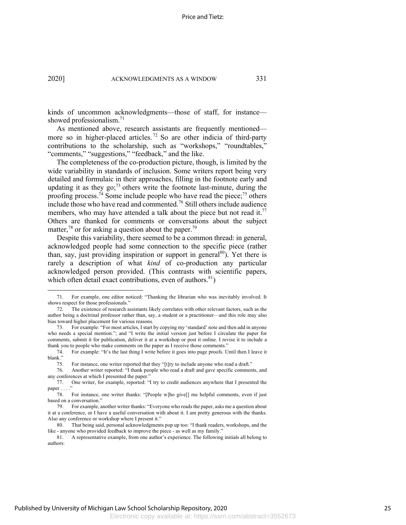kinds of uncommon acknowledgments—those of staff, for instance showed professionalism.<sup>71</sup>

As mentioned above, research assistants are frequently mentioned more so in higher-placed articles.<sup>72</sup> So are other indicia of third-party contributions to the scholarship, such as "workshops," "roundtables," "comments," "suggestions," "feedback," and the like.

The completeness of the co-production picture, though, is limited by the wide variability in standards of inclusion. Some writers report being very detailed and formulaic in their approaches, filling in the footnote early and updating it as they go; $^{73}$  others write the footnote last-minute, during the proofing process.<sup>74</sup> Some include people who have read the piece;<sup>75</sup> others include those who have read and commented.<sup>76</sup> Still others include audience members, who may have attended a talk about the piece but not read it.<sup>77</sup> Others are thanked for comments or conversations about the subject matter, $78$  or for asking a question about the paper.<sup>79</sup>

Despite this variability, there seemed to be a common thread: in general, acknowledged people had some connection to the specific piece (rather than, say, just providing inspiration or support in general<sup>80</sup>). Yet there is rarely a description of what *kind* of co-production any particular acknowledged person provided. (This contrasts with scientific papers, which often detail exact contributions, even of authors. $81$ )

<sup>71.</sup> For example, one editor noticed: "Thanking the librarian who was inevitably involved. It shows respect for those professionals."

<sup>72.</sup> The existence of research assistants likely correlates with other relevant factors, such as the author being a doctrinal professor rather than, say, a student or a practitioner—and this role may also bias toward higher placement for various reasons.

<sup>73.</sup> For example: "For most articles, I start by copying my 'standard' note and then add in anyone who needs a special mention."; and "I write the initial version just before I circulate the paper for comments, submit it for publication, deliver it at a workshop or post it online. I revise it to include a thank you to people who make comments on the paper as I receive those comments."

<sup>74.</sup> For example: "It's the last thing I write before it goes into page proofs. Until then I leave it blank."

<sup>75.</sup> For instance, one writer reported that they "[t]ry to include anyone who read a draft."

<sup>76.</sup> Another writer reported: "I thank people who read a draft and gave specific comments, and any conferences at which I presented the paper.'

<sup>77.</sup> One writer, for example, reported: "I try to credit audiences anywhere that I presented the paper . . . .

<sup>78.</sup> For instance, one writer thanks: "[People w]ho give[] me helpful comments, even if just based on a conversation."

<sup>79.</sup> For example, another writer thanks: "Everyone who reads the paper, asks me a question about it at a conference, or I have a useful conversation with about it. I am pretty generous with the thanks. Also any conference or workshop where I present it."

<sup>80.</sup> That being said, personal acknowledgments pop up too: "I thank readers, workshops, and the like - anyone who provided feedback to improve the piece - as well as my family."

<sup>81.</sup> A representative example, from one author's experience. The following initials all belong to authors: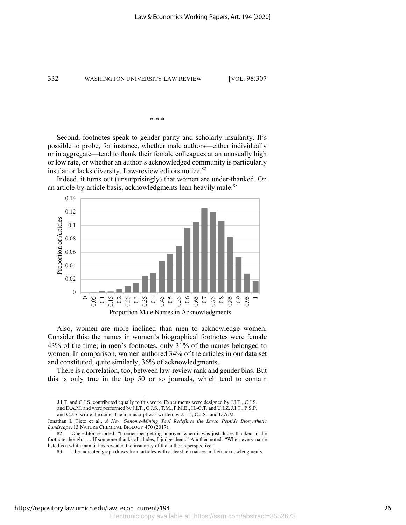$\ast$ 

Second, footnotes speak to gender parity and scholarly insularity. It's possible to probe, for instance, whether male authors––either individually or in aggregate––tend to thank their female colleagues at an unusually high or low rate, or whether an author's acknowledged community is particularly insular or lacks diversity. Law-review editors notice.<sup>82</sup>





Also, women are more inclined than men to acknowledge women. Consider this: the names in women's biographical footnotes were female 43% of the time; in men's footnotes, only 31% of the names belonged to women. In comparison, women authored 34% of the articles in our data set and constituted, quite similarly, 36% of acknowledgments.

There is a correlation, too, between law-review rank and gender bias. But this is only true in the top 50 or so journals, which tend to contain

J.I.T. and C.J.S. contributed equally to this work. Experiments were designed by J.I.T., C.J.S. and D.A.M. and were performed by J.I.T., C.J.S., T.M., P.M.B., H.-C.T. and U.I.Z. J.I.T., P.S.P.

and C.J.S. wrote the code. The manuscript was written by J.I.T., C.J.S., and D.A.M.

Jonathan I. Tietz et al., *A New Genome-Mining Tool Redefines the Lasso Peptide Biosynthetic Landscape*, 13 NATURE CHEMICAL BIOLOGY 470 (2017).

<sup>82.</sup> One editor reported: "I remember getting annoyed when it was just dudes thanked in the footnote though. . . . If someone thanks all dudes, I judge them." Another noted: "When every name listed is a white man, it has revealed the insularity of the author's perspective."

<sup>83.</sup> The indicated graph draws from articles with at least ten names in their acknowledgments.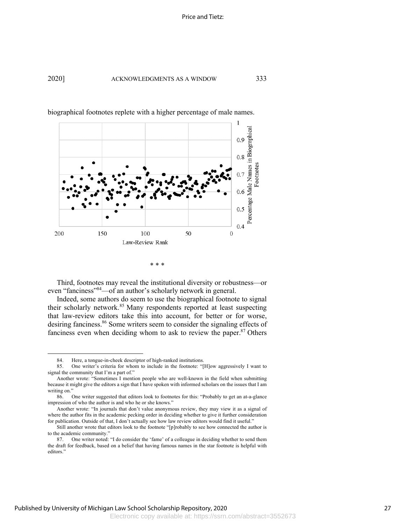

biographical footnotes replete with a higher percentage of male names.

```
* * *
```
Third, footnotes may reveal the institutional diversity or robustness—or even "fanciness"<sup>84</sup>—of an author's scholarly network in general.

Indeed, some authors do seem to use the biographical footnote to signal their scholarly network.<sup>85</sup> Many respondents reported at least suspecting that law-review editors take this into account, for better or for worse, desiring fanciness. <sup>86</sup> Some writers seem to consider the signaling effects of fanciness even when deciding whom to ask to review the paper.<sup>87</sup> Others

<sup>84.</sup> Here, a tongue-in-cheek descriptor of high-ranked institutions.

<sup>85.</sup> One writer's criteria for whom to include in the footnote: "[H]ow aggressively I want to signal the community that I'm a part of."

Another wrote: "Sometimes I mention people who are well-known in the field when submitting because it might give the editors a sign that I have spoken with informed scholars on the issues that I am writing on."

<sup>86.</sup> One writer suggested that editors look to footnotes for this: "Probably to get an at-a-glance impression of who the author is and who he or she knows."

Another wrote: "In journals that don't value anonymous review, they may view it as a signal of where the author fits in the academic pecking order in deciding whether to give it further consideration for publication. Outside of that, I don't actually see how law review editors would find it useful."

Still another wrote that editors look to the footnote "[p]robably to see how connected the author is to the academic community."

<sup>87.</sup> One writer noted: "I do consider the 'fame' of a colleague in deciding whether to send them the draft for feedback, based on a belief that having famous names in the star footnote is helpful with editors."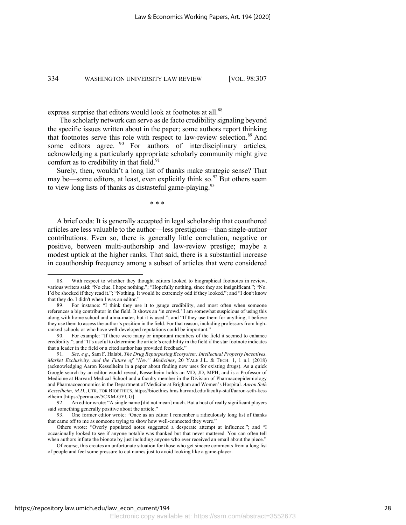express surprise that editors would look at footnotes at all.<sup>88</sup>

The scholarly network can serve as de facto credibility signaling beyond the specific issues written about in the paper; some authors report thinking that footnotes serve this role with respect to law-review selection.<sup>89</sup> And some editors agree. <sup>90</sup> For authors of interdisciplinary articles, acknowledging a particularly appropriate scholarly community might give comfort as to credibility in that field. $91$ 

Surely, then, wouldn't a long list of thanks make strategic sense? That may be—some editors, at least, even explicitly think so.<sup>92</sup> But others seem to view long lists of thanks as distasteful game-playing. $93$ 

\* \* \*

A brief coda: It is generally accepted in legal scholarship that coauthored articles are less valuable to the author—less prestigious—than single-author contributions. Even so, there is generally little correlation, negative or positive, between multi-authorship and law-review prestige; maybe a modest uptick at the higher ranks. That said, there is a substantial increase in coauthorship frequency among a subset of articles that were considered

<sup>88.</sup> With respect to whether they thought editors looked to biographical footnotes in review, various writers said: "No clue. I hope nothing."; "Hopefully nothing, since they are insignificant."; "No. I'd be shocked if they read it."; "Nothing. It would be extremely odd if they looked."; and "I don't know that they do. I didn't when I was an editor."

<sup>89.</sup> For instance: "I think they use it to gauge credibility, and most often when someone references a big contributor in the field. It shows an 'in crowd.' I am somewhat suspicious of using this along with home school and alma-mater, but it is used."; and "If they use them for anything, I believe they use them to assess the author's position in the field. For that reason, including professors from highranked schools or who have well-developed reputations could be important."

<sup>90.</sup> For example: "If there were many or important members of the field it seemed to enhance credibility."; and "It's useful to determine the article's credibility in the field if the star footnote indicates that a leader in the field or a cited author has provided feedback."

<sup>91.</sup> *See, e.g.*, Sam F. Halabi, *The Drug Repurposing Ecosystem: Intellectual Property Incentives, Market Exclusivity, and the Future of "New" Medicines*, 20 YALE J.L. & TECH. 1, 1 n.1 (2018) (acknowledging Aaron Kesselheim in a paper about finding new uses for existing drugs). As a quick Google search by an editor would reveal, Kesselheim holds an MD, JD, MPH, and is a Professor of Medicine at Harvard Medical School and a faculty member in the Division of Pharmacoepidemiology and Pharmacoeconomics in the Department of Medicine at Brigham and Women's Hospital. *Aaron Seth Kesselheim, M.D.*, CTR. FOR BIOETHICS, https://bioethics.hms.harvard.edu/faculty-staff/aaron-seth-kess elheim [https://perma.cc/5CXM-GYUG].

<sup>92.</sup> An editor wrote: "A single name [did not mean] much. But a host of really significant players said something generally positive about the article."<br>93 One former editor wrote: "Once as an e

<sup>93.</sup> One former editor wrote: "Once as an editor I remember a ridiculously long list of thanks that came off to me as someone trying to show how well-connected they were."

Others wrote: "Overly populated notes suggested a desperate attempt at influence."; and "I occasionally looked to see if anyone notable was thanked but that never mattered. You can often tell when authors inflate the bionote by just including anyone who ever received an email about the piece."

Of course, this creates an unfortunate situation for those who get sincere comments from a long list of people and feel some pressure to cut names just to avoid looking like a game-player.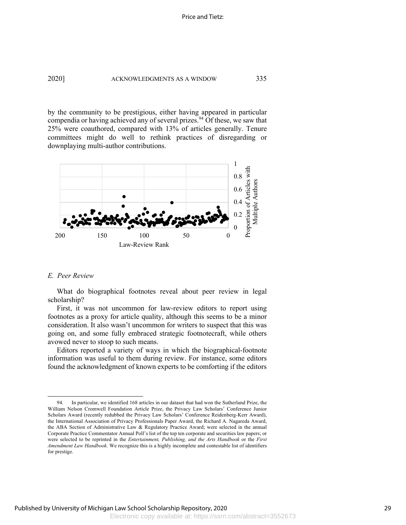2020] ACKNOWLEDGMENTS AS A WINDOW 335

by the community to be prestigious, either having appeared in particular compendia or having achieved any of several prizes.<sup>94</sup> Of these, we saw that 25% were coauthored, compared with 13% of articles generally. Tenure committees might do well to rethink practices of disregarding or downplaying multi-author contributions.



#### *E. Peer Review*

What do biographical footnotes reveal about peer review in legal scholarship?

First, it was not uncommon for law-review editors to report using footnotes as a proxy for article quality, although this seems to be a minor consideration. It also wasn't uncommon for writers to suspect that this was going on, and some fully embraced strategic footnotecraft, while others avowed never to stoop to such means.

Editors reported a variety of ways in which the biographical-footnote information was useful to them during review. For instance, some editors found the acknowledgment of known experts to be comforting if the editors

<sup>94.</sup> In particular, we identified 168 articles in our dataset that had won the Sutherland Prize, the William Nelson Cromwell Foundation Article Prize, the Privacy Law Scholars' Conference Junior Scholars Award (recently redubbed the Privacy Law Scholars' Conference Reidenberg-Kerr Award), the International Association of Privacy Professionals Paper Award, the Richard A. Nagareda Award, the ABA Section of Administrative Law & Regulatory Practice Award; were selected in the annual Corporate Practice Commentator Annual Poll's list of the top ten corporate and securities law papers; or were selected to be reprinted in the *Entertainment, Publishing, and the Arts Handbook* or the *First Amendment Law Handbook*. We recognize this is a highly incomplete and contestable list of identifiers for prestige.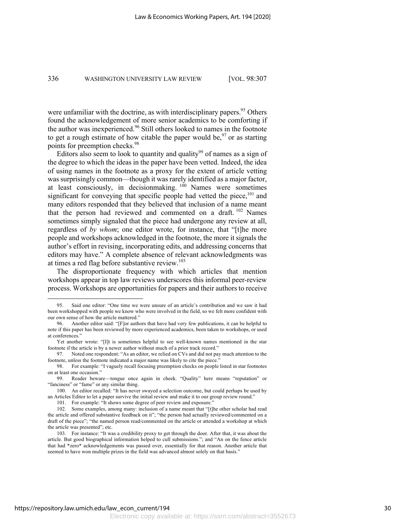were unfamiliar with the doctrine, as with interdisciplinary papers.<sup>95</sup> Others found the acknowledgement of more senior academics to be comforting if the author was inexperienced.<sup>96</sup> Still others looked to names in the footnote to get a rough estimate of how citable the paper would be,  $97$  or as starting points for preemption checks.<sup>98</sup>

Editors also seem to look to quantity and quality<sup>99</sup> of names as a sign of the degree to which the ideas in the paper have been vetted. Indeed, the idea of using names in the footnote as a proxy for the extent of article vetting was surprisingly common—though it was rarely identified as a major factor, at least consciously, in decisionmaking.  $100$  Names were sometimes significant for conveying that specific people had vetted the piece,<sup>101</sup> and many editors responded that they believed that inclusion of a name meant that the person had reviewed and commented on a draft. <sup>102</sup> Names sometimes simply signaled that the piece had undergone any review at all, regardless of *by whom*; one editor wrote, for instance, that "[t]he more people and workshops acknowledged in the footnote, the more it signals the author's effort in revising, incorporating edits, and addressing concerns that editors may have." A complete absence of relevant acknowledgments was at times a red flag before substantive review.<sup>103</sup>

The disproportionate frequency with which articles that mention workshops appear in top law reviews underscores this informal peer-review process. Workshops are opportunities for papers and their authors to receive

<sup>95.</sup> Said one editor: "One time we were unsure of an article's contribution and we saw it had been workshopped with people we know who were involved in the field, so we felt more confident with our own sense of how the article mattered."

<sup>96.</sup> Another editor said: "[F]or authors that have had very few publications, it can be helpful to note if this paper has been reviewed by more experienced academics, been taken to workshops, or used at conferences."

Yet another wrote: "[I]t is sometimes helpful to see well-known names mentioned in the star footnote if the article is by a newer author without much of a prior track record."

<sup>97.</sup> Noted one respondent: "As an editor, we relied on CVs and did not pay much attention to the footnote, unless the footnote indicated a major name was likely to cite the piece.

<sup>98.</sup> For example: "I vaguely recall focusing preemption checks on people listed in star footnotes on at least one occasion."

<sup>99.</sup> Reader beware––tongue once again in cheek. "Quality" here means "reputation" or "fanciness" or "fame" or any similar thing.

<sup>100.</sup> An editor recalled: "It has never swayed a selection outcome, but could perhaps be used by an Articles Editor to let a paper survive the initial review and make it to our group review round."

<sup>101.</sup> For example: "It shows some degree of peer review and exposure."

<sup>102.</sup> Some examples, among many: inclusion of a name meant that "[t]he other scholar had read the article and offered substantive feedback on it"; "the person had actually reviewed/commented on a draft of the piece"; "the named person read/commented on the article or attended a workshop at which the article was presented"; etc.

<sup>103.</sup> For instance: "It was a credibility proxy to get through the door. After that, it was about the article. But good biographical information helped to cull submissions."; and "An on the fence article that had \*zero\* acknowledgements was passed over, essentially for that reason. Another article that seemed to have won multiple prizes in the field was advanced almost solely on that basis."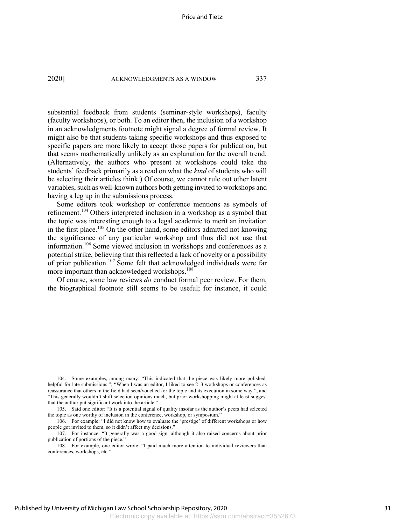substantial feedback from students (seminar-style workshops), faculty (faculty workshops), or both. To an editor then, the inclusion of a workshop in an acknowledgments footnote might signal a degree of formal review. It might also be that students taking specific workshops and thus exposed to specific papers are more likely to accept those papers for publication, but that seems mathematically unlikely as an explanation for the overall trend. (Alternatively, the authors who present at workshops could take the students' feedback primarily as a read on what the *kind* of students who will be selecting their articles think.) Of course, we cannot rule out other latent variables, such as well-known authors both getting invited to workshops and having a leg up in the submissions process.

Some editors took workshop or conference mentions as symbols of refinement.<sup>104</sup> Others interpreted inclusion in a workshop as a symbol that the topic was interesting enough to a legal academic to merit an invitation in the first place.<sup>105</sup> On the other hand, some editors admitted not knowing the significance of any particular workshop and thus did not use that information.<sup>106</sup> Some viewed inclusion in workshops and conferences as a potential strike, believing that this reflected a lack of novelty or a possibility of prior publication.107 Some felt that acknowledged individuals were far more important than acknowledged workshops. 108

Of course, some law reviews *do* conduct formal peer review. For them, the biographical footnote still seems to be useful; for instance, it could

<sup>104.</sup> Some examples, among many: "This indicated that the piece was likely more polished, helpful for late submissions."; "When I was an editor, I liked to see 2–3 workshops or conferences as reassurance that others in the field had seen/vouched for the topic and its execution in some way."; and "This generally wouldn't shift selection opinions much, but prior workshopping might at least suggest that the author put significant work into the article."

<sup>105.</sup> Said one editor: "It is a potential signal of quality insofar as the author's peers had selected the topic as one worthy of inclusion in the conference, workshop, or symposium."

<sup>106.</sup> For example: "I did not know how to evaluate the 'prestige' of different workshops or how people got invited to them, so it didn't affect my decisions."

<sup>107.</sup> For instance: "It generally was a good sign, although it also raised concerns about prior publication of portions of the piece."

<sup>108.</sup> For example, one editor wrote: "I paid much more attention to individual reviewers than conferences, workshops, etc."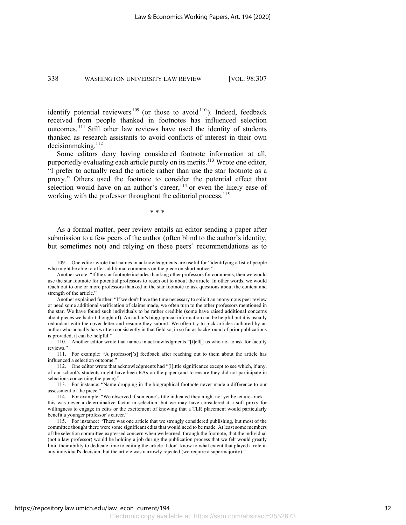identify potential reviewers  $109$  (or those to avoid  $110$ ). Indeed, feedback received from people thanked in footnotes has influenced selection outcomes. <sup>111</sup> Still other law reviews have used the identity of students thanked as research assistants to avoid conflicts of interest in their own  $decision making.<sup>112</sup>$ 

Some editors deny having considered footnote information at all, purportedly evaluating each article purely on its merits.<sup>113</sup> Wrote one editor, "I prefer to actually read the article rather than use the star footnote as a proxy." Others used the footnote to consider the potential effect that selection would have on an author's career,  $114$  or even the likely ease of working with the professor throughout the editorial process.<sup>115</sup>

\* \* \*

As a formal matter, peer review entails an editor sending a paper after submission to a few peers of the author (often blind to the author's identity, but sometimes not) and relying on those peers' recommendations as to

<sup>109.</sup> One editor wrote that names in acknowledgments are useful for "identifying a list of people who might be able to offer additional comments on the piece on short notice."

Another wrote: "If the star footnote includes thanking other professors for comments, then we would use the star footnote for potential professors to reach out to about the article. In other words, we would reach out to one or more professors thanked in the star footnote to ask questions about the content and strength of the article."

Another explained further: "If we don't have the time necessary to solicit an anonymous peer review or need some additional verification of claims made, we often turn to the other professors mentioned in the star. We have found such individuals to be rather credible (some have raised additional concerns about pieces we hadn't thought of). An author's biographical information can be helpful but it is usually redundant with the cover letter and resume they submit. We often try to pick articles authored by an author who actually has written consistently in that field so, in so far as background of prior publications is provided, it can be helpful."

<sup>110.</sup> Another editor wrote that names in acknowledgments "[t]ell[] us who not to ask for faculty reviews."

<sup>111.</sup> For example: "A professor['s] feedback after reaching out to them about the article has influenced a selection outcome."

<sup>112.</sup> One editor wrote that acknowledgments had "[l]ittle significance except to see which, if any, of our school's students might have been RAs on the paper (and to ensure they did not participate in selections concerning the piece)."

<sup>113.</sup> For instance: "Name-dropping in the biographical footnote never made a difference to our assessment of the piece."

<sup>114.</sup> For example: "We observed if someone's title indicated they might not yet be tenure-track – this was never a determinative factor in selection, but we may have considered it a soft proxy for willingness to engage in edits or the excitement of knowing that a TLR placement would particularly benefit a younger professor's career."

<sup>115.</sup> For instance: "There was one article that we strongly considered publishing, but most of the committee thought there were some significant edits that would need to be made. At least some members of the selection committee expressed concern when we learned, through the footnote, that the individual (not a law professor) would be holding a job during the publication process that we felt would greatly limit their ability to dedicate time to editing the article. I don't know to what extent that played a role in any individual's decision, but the article was narrowly rejected (we require a supermajority)."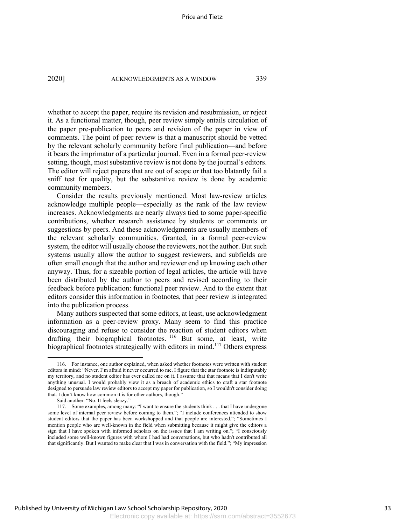whether to accept the paper, require its revision and resubmission, or reject it. As a functional matter, though, peer review simply entails circulation of the paper pre-publication to peers and revision of the paper in view of comments. The point of peer review is that a manuscript should be vetted by the relevant scholarly community before final publication—and before it bears the imprimatur of a particular journal. Even in a formal peer-review setting, though, most substantive review is not done by the journal's editors. The editor will reject papers that are out of scope or that too blatantly fail a sniff test for quality, but the substantive review is done by academic community members.

Consider the results previously mentioned. Most law-review articles acknowledge multiple people—especially as the rank of the law review increases. Acknowledgments are nearly always tied to some paper-specific contributions, whether research assistance by students or comments or suggestions by peers. And these acknowledgments are usually members of the relevant scholarly communities. Granted, in a formal peer-review system, the editor will usually choose the reviewers, not the author. But such systems usually allow the author to suggest reviewers, and subfields are often small enough that the author and reviewer end up knowing each other anyway. Thus, for a sizeable portion of legal articles, the article will have been distributed by the author to peers and revised according to their feedback before publication: functional peer review. And to the extent that editors consider this information in footnotes, that peer review is integrated into the publication process.

Many authors suspected that some editors, at least, use acknowledgment information as a peer-review proxy. Many seem to find this practice discouraging and refuse to consider the reaction of student editors when drafting their biographical footnotes. <sup>116</sup> But some, at least, write biographical footnotes strategically with editors in mind.<sup>117</sup> Others express

<sup>116.</sup> For instance, one author explained, when asked whether footnotes were written with student editors in mind: "Never. I'm afraid it never occurred to me. I figure that the star footnote is indisputably my territory, and no student editor has ever called me on it. I assume that that means that I don't write anything unusual. I would probably view it as a breach of academic ethics to craft a star footnote designed to persuade law review editors to accept my paper for publication, so I wouldn't consider doing that. I don't know how common it is for other authors, though."

Said another: "No. It feels sleazy."

<sup>117.</sup> Some examples, among many: "I want to ensure the students think . . . that I have undergone some level of internal peer review before coming to them."; "I include conferences attended to show student editors that the paper has been workshopped and that people are interested."; "Sometimes I mention people who are well-known in the field when submitting because it might give the editors a sign that I have spoken with informed scholars on the issues that I am writing on."; "I consciously included some well-known figures with whom I had had conversations, but who hadn't contributed all that significantly. But I wanted to make clear that I was in conversation with the field."; "My impression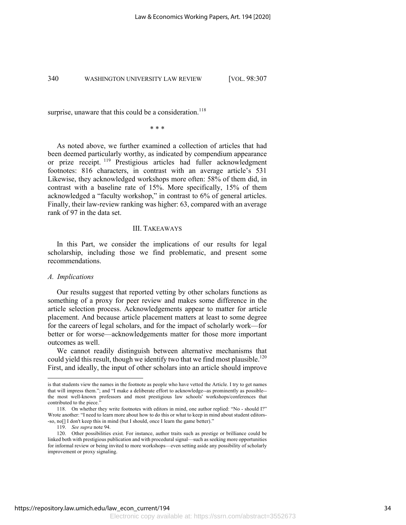surprise, unaware that this could be a consideration.<sup>118</sup>

\* \* \*

As noted above, we further examined a collection of articles that had been deemed particularly worthy, as indicated by compendium appearance or prize receipt. <sup>119</sup> Prestigious articles had fuller acknowledgment footnotes: 816 characters, in contrast with an average article's 531 Likewise, they acknowledged workshops more often: 58% of them did, in contrast with a baseline rate of 15%. More specifically, 15% of them acknowledged a "faculty workshop," in contrast to 6% of general articles. Finally, their law-review ranking was higher: 63, compared with an average rank of 97 in the data set.

#### III. TAKEAWAYS

In this Part, we consider the implications of our results for legal scholarship, including those we find problematic, and present some recommendations.

# *A. Implications*

Our results suggest that reported vetting by other scholars functions as something of a proxy for peer review and makes some difference in the article selection process. Acknowledgements appear to matter for article placement. And because article placement matters at least to some degree for the careers of legal scholars, and for the impact of scholarly work—for better or for worse—acknowledgements matter for those more important outcomes as well.

We cannot readily distinguish between alternative mechanisms that could yield this result, though we identify two that we find most plausible.<sup>120</sup> First, and ideally, the input of other scholars into an article should improve

is that students view the names in the footnote as people who have vetted the Article. I try to get names that will impress them."; and "I make a deliberate effort to acknowledge--as prominently as possible- the most well-known professors and most prestigious law schools' workshops/conferences that contributed to the piece."

<sup>118.</sup> On whether they write footnotes with editors in mind, one author replied: "No - should I?" Wrote another: "I need to learn more about how to do this or what to keep in mind about student editors- -so, no[] I don't keep this in mind (but I should, once I learn the game better)."

<sup>119.</sup> *See supra* note 94.

<sup>120.</sup> Other possibilities exist. For instance, author traits such as prestige or brilliance could be linked both with prestigious publication and with procedural signal––such as seeking more opportunities for informal review or being invited to more workshops––even setting aside any possibility of scholarly improvement or proxy signaling.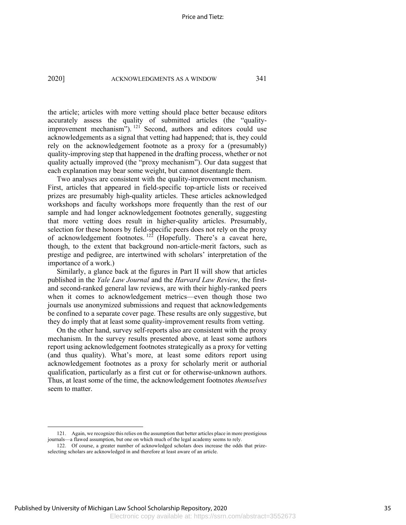the article; articles with more vetting should place better because editors accurately assess the quality of submitted articles (the "qualityimprovement mechanism"). <sup>121</sup> Second, authors and editors could use acknowledgements as a signal that vetting had happened; that is, they could rely on the acknowledgement footnote as a proxy for a (presumably) quality-improving step that happened in the drafting process, whether or not quality actually improved (the "proxy mechanism"). Our data suggest that each explanation may bear some weight, but cannot disentangle them.

Two analyses are consistent with the quality-improvement mechanism. First, articles that appeared in field-specific top-article lists or received prizes are presumably high-quality articles. These articles acknowledged workshops and faculty workshops more frequently than the rest of our sample and had longer acknowledgement footnotes generally, suggesting that more vetting does result in higher-quality articles. Presumably, selection for these honors by field-specific peers does not rely on the proxy of acknowledgement footnotes.  $12^2$  (Hopefully. There's a caveat here, though, to the extent that background non-article-merit factors, such as prestige and pedigree, are intertwined with scholars' interpretation of the importance of a work.)

Similarly, a glance back at the figures in Part II will show that articles published in the *Yale Law Journal* and the *Harvard Law Review*, the firstand second-ranked general law reviews, are with their highly-ranked peers when it comes to acknowledgement metrics—even though those two journals use anonymized submissions and request that acknowledgements be confined to a separate cover page. These results are only suggestive, but they do imply that at least some quality-improvement results from vetting.

On the other hand, survey self-reports also are consistent with the proxy mechanism. In the survey results presented above, at least some authors report using acknowledgement footnotes strategically as a proxy for vetting (and thus quality). What's more, at least some editors report using acknowledgement footnotes as a proxy for scholarly merit or authorial qualification, particularly as a first cut or for otherwise-unknown authors. Thus, at least some of the time, the acknowledgement footnotes *themselves*  seem to matter.

<sup>121.</sup> Again, we recognize this relies on the assumption that better articles place in more prestigious journals—a flawed assumption, but one on which much of the legal academy seems to rely.

<sup>122.</sup> Of course, a greater number of acknowledged scholars does increase the odds that prizeselecting scholars are acknowledged in and therefore at least aware of an article.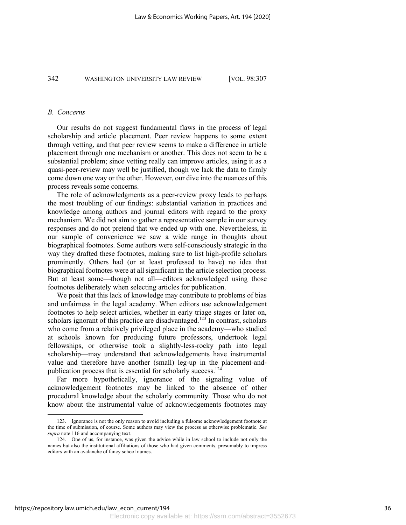# *B. Concerns*

Our results do not suggest fundamental flaws in the process of legal scholarship and article placement. Peer review happens to some extent through vetting, and that peer review seems to make a difference in article placement through one mechanism or another. This does not seem to be a substantial problem; since vetting really can improve articles, using it as a quasi-peer-review may well be justified, though we lack the data to firmly come down one way or the other. However, our dive into the nuances of this process reveals some concerns.

The role of acknowledgments as a peer-review proxy leads to perhaps the most troubling of our findings: substantial variation in practices and knowledge among authors and journal editors with regard to the proxy mechanism. We did not aim to gather a representative sample in our survey responses and do not pretend that we ended up with one. Nevertheless, in our sample of convenience we saw a wide range in thoughts about biographical footnotes. Some authors were self-consciously strategic in the way they drafted these footnotes, making sure to list high-profile scholars prominently. Others had (or at least professed to have) no idea that biographical footnotes were at all significant in the article selection process. But at least some—though not all—editors acknowledged using those footnotes deliberately when selecting articles for publication.

We posit that this lack of knowledge may contribute to problems of bias and unfairness in the legal academy. When editors use acknowledgement footnotes to help select articles, whether in early triage stages or later on, scholars ignorant of this practice are disadvantaged.<sup>123</sup> In contrast, scholars who come from a relatively privileged place in the academy—who studied at schools known for producing future professors, undertook legal fellowships, or otherwise took a slightly-less-rocky path into legal scholarship—may understand that acknowledgements have instrumental value and therefore have another (small) leg-up in the placement-andpublication process that is essential for scholarly success.<sup>124</sup>

Far more hypothetically, ignorance of the signaling value of acknowledgement footnotes may be linked to the absence of other procedural knowledge about the scholarly community. Those who do not know about the instrumental value of acknowledgements footnotes may

<sup>123.</sup> Ignorance is not the only reason to avoid including a fulsome acknowledgement footnote at the time of submission, of course. Some authors may view the process as otherwise problematic. *See supra* note 116 and accompanying text.

<sup>124.</sup> One of us, for instance, was given the advice while in law school to include not only the names but also the institutional affiliations of those who had given comments, presumably to impress editors with an avalanche of fancy school names.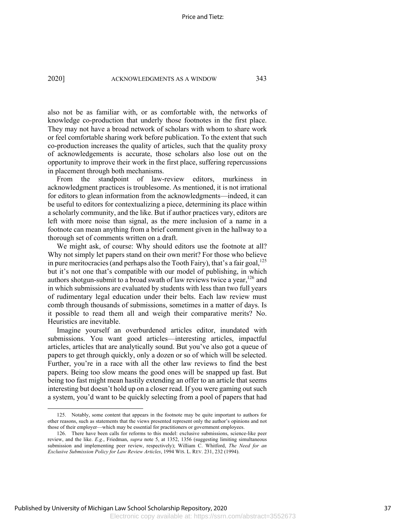also not be as familiar with, or as comfortable with, the networks of knowledge co-production that underly those footnotes in the first place. They may not have a broad network of scholars with whom to share work or feel comfortable sharing work before publication. To the extent that such co-production increases the quality of articles, such that the quality proxy of acknowledgements is accurate, those scholars also lose out on the opportunity to improve their work in the first place, suffering repercussions in placement through both mechanisms.

From the standpoint of law-review editors, murkiness in acknowledgment practices is troublesome. As mentioned, it is not irrational for editors to glean information from the acknowledgments—indeed, it can be useful to editors for contextualizing a piece, determining its place within a scholarly community, and the like. But if author practices vary, editors are left with more noise than signal, as the mere inclusion of a name in a footnote can mean anything from a brief comment given in the hallway to a thorough set of comments written on a draft.

We might ask, of course: Why should editors use the footnote at all? Why not simply let papers stand on their own merit? For those who believe in pure meritocracies (and perhaps also the Tooth Fairy), that's a fair goal,<sup>125</sup> but it's not one that's compatible with our model of publishing, in which authors shotgun-submit to a broad swath of law reviews twice a year,  $126$  and in which submissions are evaluated by students with less than two full years of rudimentary legal education under their belts. Each law review must comb through thousands of submissions, sometimes in a matter of days. Is it possible to read them all and weigh their comparative merits? No. Heuristics are inevitable.

Imagine yourself an overburdened articles editor, inundated with submissions. You want good articles—interesting articles, impactful articles, articles that are analytically sound. But you've also got a queue of papers to get through quickly, only a dozen or so of which will be selected. Further, you're in a race with all the other law reviews to find the best papers. Being too slow means the good ones will be snapped up fast. But being too fast might mean hastily extending an offer to an article that seems interesting but doesn't hold up on a closer read. If you were gaming out such a system, you'd want to be quickly selecting from a pool of papers that had

<sup>125.</sup> Notably, some content that appears in the footnote may be quite important to authors for other reasons, such as statements that the views presented represent only the author's opinions and not those of their employer—which may be essential for practitioners or government employees.

<sup>126.</sup> There have been calls for reforms to this model: exclusive submissions, science-like peer review, and the like. *E.g.*, Friedman, *supra* note 5, at 1352, 1356 (suggesting limiting simultaneous submission and implementing peer review, respectively); William C. Whitford, *The Need for an Exclusive Submission Policy for Law Review Articles*, 1994 WIS. L. REV. 231, 232 (1994).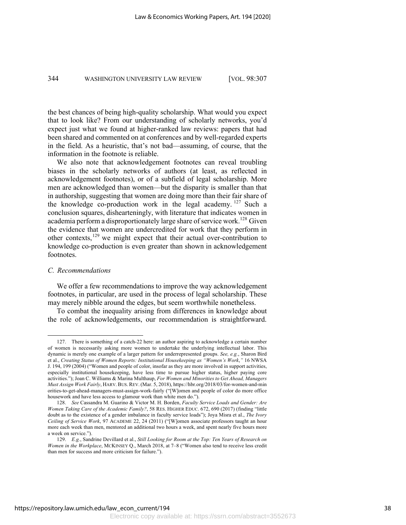the best chances of being high-quality scholarship. What would you expect that to look like? From our understanding of scholarly networks, you'd expect just what we found at higher-ranked law reviews: papers that had been shared and commented on at conferences and by well-regarded experts in the field. As a heuristic, that's not bad—assuming, of course, that the information in the footnote is reliable.

We also note that acknowledgement footnotes can reveal troubling biases in the scholarly networks of authors (at least, as reflected in acknowledgement footnotes), or of a subfield of legal scholarship. More men are acknowledged than women—but the disparity is smaller than that in authorship, suggesting that women are doing more than their fair share of the knowledge co-production work in the legal academy.  $127$  Such a conclusion squares, dishearteningly, with literature that indicates women in academia perform a disproportionately large share of service work.<sup>128</sup> Given the evidence that women are undercredited for work that they perform in other contexts,<sup>129</sup> we might expect that their actual over-contribution to knowledge co-production is even greater than shown in acknowledgement footnotes.

# *C. Recommendations*

We offer a few recommendations to improve the way acknowledgement footnotes, in particular, are used in the process of legal scholarship. These may merely nibble around the edges, but seem worthwhile nonetheless.

To combat the inequality arising from differences in knowledge about the role of acknowledgements, our recommendation is straightforward.

<sup>127.</sup> There is something of a catch-22 here: an author aspiring to acknowledge a certain number of women is necessarily asking more women to undertake the underlying intellectual labor. This dynamic is merely one example of a larger pattern for underrepresented groups. *See, e.g.*, Sharon Bird et al., *Creating Status of Women Reports: Institutional Housekeeping as "Women's Work*,*"* 16 NWSA J. 194, 199 (2004) ("Women and people of color, insofar as they are more involved in support activities, especially institutional housekeeping, have less time to pursue higher status, higher paying core activities."); Joan C. Williams & Marina Multhaup, *For Women and Minorities to Get Ahead, Managers Must Assign Work Fairly*, HARV.BUS.REV.(Mar. 5, 2018), https://hbr.org/2018/03/for-women-and-min orities-to-get-ahead-managers-must-assign-work-fairly ("[W]omen and people of color do more office housework and have less access to glamour work than white men do.").

<sup>128.</sup> *See* Cassandra M. Guarino & Victor M. H. Borden, *Faculty Service Loads and Gender: Are Women Taking Care of the Academic Family?*, 58 RES. HIGHER EDUC. 672, 690 (2017) (finding "little doubt as to the existence of a gender imbalance in faculty service loads"); Joya Misra et al., *The Ivory Ceiling of Service Work*, 97 ACADEME 22, 24 (2011) ("[W]omen associate professors taught an hour more each week than men, mentored an additional two hours a week, and spent nearly five hours more a week on service.").

<sup>129.</sup> *E.g.*, Sandrine Devillard et al., *Still Looking for Room at the Top: Ten Years of Research on Women in the Workplace*, MCKINSEY Q., March 2018, at 7–8 ("Women also tend to receive less credit than men for success and more criticism for failure.").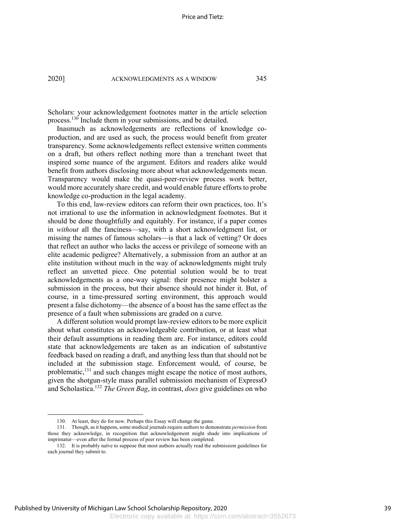Scholars: your acknowledgement footnotes matter in the article selection process.<sup>130</sup> Include them in your submissions, and be detailed.

Inasmuch as acknowledgements are reflections of knowledge coproduction, and are used as such, the process would benefit from greater transparency. Some acknowledgements reflect extensive written comments on a draft, but others reflect nothing more than a trenchant tweet that inspired some nuance of the argument. Editors and readers alike would benefit from authors disclosing more about what acknowledgements mean. Transparency would make the quasi-peer-review process work better, would more accurately share credit, and would enable future efforts to probe knowledge co-production in the legal academy.

To this end, law-review editors can reform their own practices, too. It's not irrational to use the information in acknowledgment footnotes. But it should be done thoughtfully and equitably. For instance, if a paper comes in *without* all the fanciness—say, with a short acknowledgment list, or missing the names of famous scholars—is that a lack of vetting? Or does that reflect an author who lacks the access or privilege of someone with an elite academic pedigree? Alternatively, a submission from an author at an elite institution without much in the way of acknowledgments might truly reflect an unvetted piece. One potential solution would be to treat acknowledgements as a one-way signal: their presence might bolster a submission in the process, but their absence should not hinder it. But, of course, in a time-pressured sorting environment, this approach would present a false dichotomy—the absence of a boost has the same effect as the presence of a fault when submissions are graded on a curve.

A different solution would prompt law-review editors to be more explicit about what constitutes an acknowledgeable contribution, or at least what their default assumptions in reading them are. For instance, editors could state that acknowledgements are taken as an indication of substantive feedback based on reading a draft, and anything less than that should not be included at the submission stage. Enforcement would, of course, be problematic,<sup>131</sup> and such changes might escape the notice of most authors, given the shotgun-style mass parallel submission mechanism of ExpressO and Scholastica.132 *The Green Bag*, in contrast, *does* give guidelines on who

<sup>130.</sup> At least, they do for now. Perhaps this Essay will change the game.

<sup>131.</sup> Though, as it happens, some medical journals require authors to demonstrate *permission* from those they acknowledge, in recognition that acknowledgement might shade into implications of imprimatur—even after the formal process of peer review has been completed.

<sup>132.</sup> It is probably naïve to suppose that most authors actually read the submission guidelines for each journal they submit to.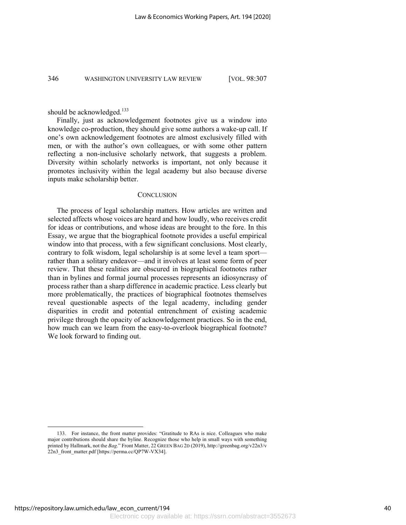should be acknowledged.<sup>133</sup>

Finally, just as acknowledgement footnotes give us a window into knowledge co-production, they should give some authors a wake-up call. If one's own acknowledgement footnotes are almost exclusively filled with men, or with the author's own colleagues, or with some other pattern reflecting a non-inclusive scholarly network, that suggests a problem. Diversity within scholarly networks is important, not only because it promotes inclusivity within the legal academy but also because diverse inputs make scholarship better.

# **CONCLUSION**

The process of legal scholarship matters. How articles are written and selected affects whose voices are heard and how loudly, who receives credit for ideas or contributions, and whose ideas are brought to the fore. In this Essay, we argue that the biographical footnote provides a useful empirical window into that process, with a few significant conclusions. Most clearly, contrary to folk wisdom, legal scholarship is at some level a team sport rather than a solitary endeavor—and it involves at least some form of peer review. That these realities are obscured in biographical footnotes rather than in bylines and formal journal processes represents an idiosyncrasy of process rather than a sharp difference in academic practice. Less clearly but more problematically, the practices of biographical footnotes themselves reveal questionable aspects of the legal academy, including gender disparities in credit and potential entrenchment of existing academic privilege through the opacity of acknowledgement practices. So in the end, how much can we learn from the easy-to-overlook biographical footnote? We look forward to finding out.

<sup>133.</sup> For instance, the front matter provides: "Gratitude to RAs is nice. Colleagues who make major contributions should share the byline. Recognize those who help in small ways with something printed by Hallmark, not the *Bag*." Front Matter, 22 GREEN BAG 2D (2019), http://greenbag.org/v22n3/v 22n3 front matter.pdf [https://perma.cc/QP7W-VX34].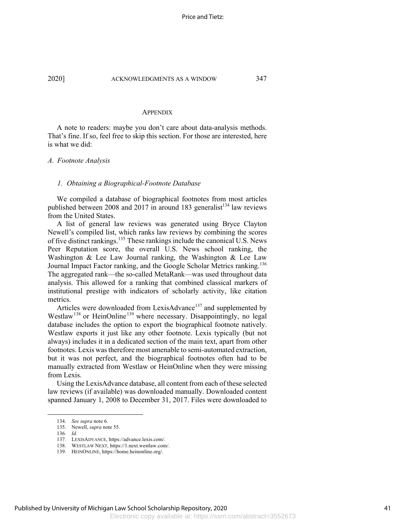#### **APPENDIX**

A note to readers: maybe you don't care about data-analysis methods. That's fine. If so, feel free to skip this section. For those are interested, here is what we did:

#### *A. Footnote Analysis*

#### *1. Obtaining a Biographical-Footnote Database*

We compiled a database of biographical footnotes from most articles published between 2008 and 2017 in around 183 generalist<sup>134</sup> law reviews from the United States.

A list of general law reviews was generated using Bryce Clayton Newell's compiled list, which ranks law reviews by combining the scores of five distinct rankings.135 These rankings include the canonical U.S. News Peer Reputation score, the overall U.S. News school ranking, the Washington & Lee Law Journal ranking, the Washington & Lee Law Journal Impact Factor ranking, and the Google Scholar Metrics ranking.<sup>136</sup> The aggregated rank—the so-called MetaRank—was used throughout data analysis. This allowed for a ranking that combined classical markers of institutional prestige with indicators of scholarly activity, like citation metrics.

Articles were downloaded from LexisAdvance<sup>137</sup> and supplemented by Westlaw<sup>138</sup> or HeinOnline<sup>139</sup> where necessary. Disappointingly, no legal database includes the option to export the biographical footnote natively. Westlaw exports it just like any other footnote. Lexis typically (but not always) includes it in a dedicated section of the main text, apart from other footnotes. Lexis was therefore most amenable to semi-automated extraction, but it was not perfect, and the biographical footnotes often had to be manually extracted from Westlaw or HeinOnline when they were missing from Lexis.

Using the LexisAdvance database, all content from each of these selected law reviews (if available) was downloaded manually. Downloaded content spanned January 1, 2008 to December 31, 2017. Files were downloaded to

<sup>134.</sup> *See supra* note 6.

<sup>135.</sup> Newell, *supra* note 55.

<sup>136.</sup> *Id.*

<sup>137.</sup> LEXISADVANCE, https://advance.lexis.com/.

<sup>138.</sup> WESTLAW NEXT, https://1.next.westlaw.com/.

<sup>139.</sup> HEINONLINE, https://home.heinonline.org/.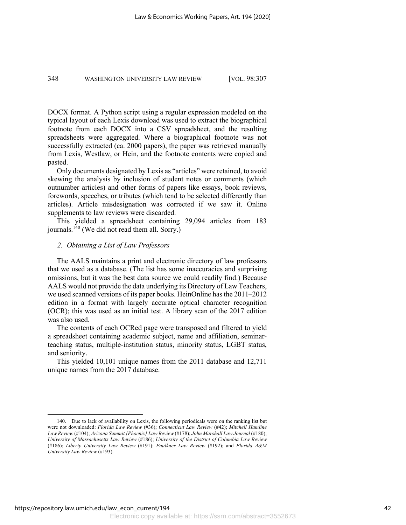DOCX format. A Python script using a regular expression modeled on the typical layout of each Lexis download was used to extract the biographical footnote from each DOCX into a CSV spreadsheet, and the resulting spreadsheets were aggregated. Where a biographical footnote was not successfully extracted (ca. 2000 papers), the paper was retrieved manually from Lexis, Westlaw, or Hein, and the footnote contents were copied and pasted.

Only documents designated by Lexis as "articles" were retained, to avoid skewing the analysis by inclusion of student notes or comments (which outnumber articles) and other forms of papers like essays, book reviews, forewords, speeches, or tributes (which tend to be selected differently than articles). Article misdesignation was corrected if we saw it. Online supplements to law reviews were discarded.

This yielded a spreadsheet containing 29,094 articles from 183 journals.<sup>140</sup> (We did not read them all. Sorry.)

# *2. Obtaining a List of Law Professors*

The AALS maintains a print and electronic directory of law professors that we used as a database. (The list has some inaccuracies and surprising omissions, but it was the best data source we could readily find.) Because AALS would not provide the data underlying its Directory of Law Teachers, we used scanned versions of its paper books. HeinOnline has the 2011–2012 edition in a format with largely accurate optical character recognition (OCR); this was used as an initial test. A library scan of the 2017 edition was also used.

The contents of each OCRed page were transposed and filtered to yield a spreadsheet containing academic subject, name and affiliation, seminarteaching status, multiple-institution status, minority status, LGBT status, and seniority.

This yielded 10,101 unique names from the 2011 database and 12,711 unique names from the 2017 database.

<sup>140.</sup> Due to lack of availability on Lexis, the following periodicals were on the ranking list but were not downloaded: *Florida Law Review* (#36); *Connecticut Law Review* (#42); *Mitchell Hamline Law Review* (#104); *Arizona Summit [Phoenix] Law Review* (#178); *John Marshall Law Journal* (#180); *University of Massachusetts Law Review* (#186); *University of the District of Columbia Law Review* (#186); *Liberty University Law Review* (#191); *Faulkner Law Review* (#192); and *Florida A&M University Law Review* (#193).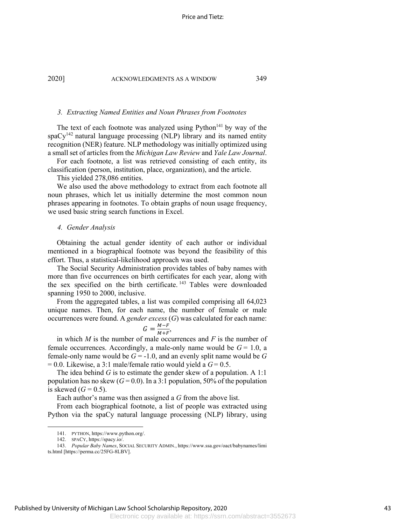#### *3. Extracting Named Entities and Noun Phrases from Footnotes*

The text of each footnote was analyzed using  $Python<sup>141</sup>$  by way of the  $spaCy^{142}$  natural language processing (NLP) library and its named entity recognition (NER) feature. NLP methodology was initially optimized using a small set of articles from the *Michigan Law Review* and *Yale Law Journal*.

For each footnote, a list was retrieved consisting of each entity, its classification (person, institution, place, organization), and the article.

This yielded 278,086 entities.

We also used the above methodology to extract from each footnote all noun phrases, which let us initially determine the most common noun phrases appearing in footnotes. To obtain graphs of noun usage frequency, we used basic string search functions in Excel.

#### *4. Gender Analysis*

Obtaining the actual gender identity of each author or individual mentioned in a biographical footnote was beyond the feasibility of this effort. Thus, a statistical-likelihood approach was used.

The Social Security Administration provides tables of baby names with more than five occurrences on birth certificates for each year, along with the sex specified on the birth certificate.<sup>143</sup> Tables were downloaded spanning 1950 to 2000, inclusive.

From the aggregated tables, a list was compiled comprising all 64,023 unique names. Then, for each name, the number of female or male occurrences were found. A *gender excess* (*G*) was calculated for each name:

$$
G = \frac{M - F}{M + F}
$$

,

in which *M* is the number of male occurrences and *F* is the number of female occurrences. Accordingly, a male-only name would be  $G = 1.0$ , a female-only name would be  $G = -1.0$ , and an evenly split name would be  $G$  $= 0.0$ . Likewise, a 3:1 male/female ratio would yield a  $G = 0.5$ .

The idea behind *G* is to estimate the gender skew of a population. A 1:1 population has no skew  $(G=0.0)$ . In a 3:1 population, 50% of the population is skewed  $(G = 0.5)$ .

Each author's name was then assigned a *G* from the above list.

From each biographical footnote, a list of people was extracted using Python via the spaCy natural language processing (NLP) library, using

<sup>141.</sup> PYTHON, https://www.python.org/.

<sup>142.</sup> SPACY, https://spacy.io/.

<sup>143.</sup> *Popular Baby Names*, SOCIAL SECURITY ADMIN., https://www.ssa.gov/oact/babynames/limi ts.html [https://perma.cc/25FG-8LBV].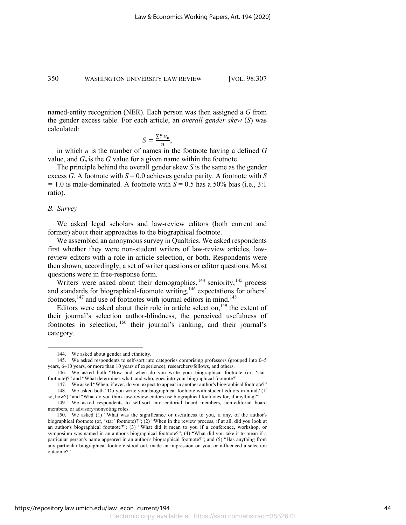named-entity recognition (NER). Each person was then assigned a *G* from the gender excess table. For each article, an *overall gender skew* (*S*) was calculated:

$$
S = \frac{\sum_{1}^{n} G_n}{n},
$$

in which *n* is the number of names in the footnote having a defined *G* value, and  $G_n$  is the  $G$  value for a given name within the footnote.

The principle behind the overall gender skew *S* is the same as the gender excess *G*. A footnote with  $S = 0.0$  achieves gender parity. A footnote with *S*  $= 1.0$  is male-dominated. A footnote with  $S = 0.5$  has a 50% bias (i.e., 3:1) ratio).

### *B. Survey*

We asked legal scholars and law-review editors (both current and former) about their approaches to the biographical footnote.

We assembled an anonymous survey in Qualtrics. We asked respondents first whether they were non-student writers of law-review articles, lawreview editors with a role in article selection, or both. Respondents were then shown, accordingly, a set of writer questions or editor questions. Most questions were in free-response form.

Writers were asked about their demographics, $144$  seniority,  $145$  process and standards for biographical-footnote writing, $146$  expectations for others' footnotes,  $147$  and use of footnotes with journal editors in mind.  $148$ 

Editors were asked about their role in article selection,<sup>149</sup> the extent of their journal's selection author-blindness, the perceived usefulness of footnotes in selection, <sup>150</sup> their journal's ranking, and their journal's category.

<sup>144.</sup> We asked about gender and ethnicity.

<sup>145.</sup> We asked respondents to self-sort into categories comprising professors (grouped into 0–5 years, 6–10 years, or more than 10 years of experience), researchers/fellows, and others.

<sup>146.</sup> We asked both "How and when do you write your biographical footnote (or, 'star' footnote)?" and "What determines what, and who, goes into your biographical footnote?"

<sup>147.</sup> We asked "When, if ever, do you expect to appear in another author's biographical footnote?" 148. We asked both "Do you write your biographical footnote with student editors in mind? (If

so, how?)" and "What do you think law-review editors use biographical footnotes for, if anything?" 149. We asked respondents to self-sort into editorial board members, non-editorial board

members, or advisory/nonvoting roles.

<sup>150.</sup> We asked (1) "What was the significance or usefulness to you, if any, of the author's biographical footnote (or, 'star' footnote)?"; (2) "When in the review process, if at all, did you look at an author's biographical footnote?"; (3) "What did it mean to you if a conference, workshop, or symposium was named in an author's biographical footnote?"; (4) "What did you take it to mean if a particular person's name appeared in an author's biographical footnote?"; and (5) "Has anything from any particular biographical footnote stood out, made an impression on you, or influenced a selection outcome?"